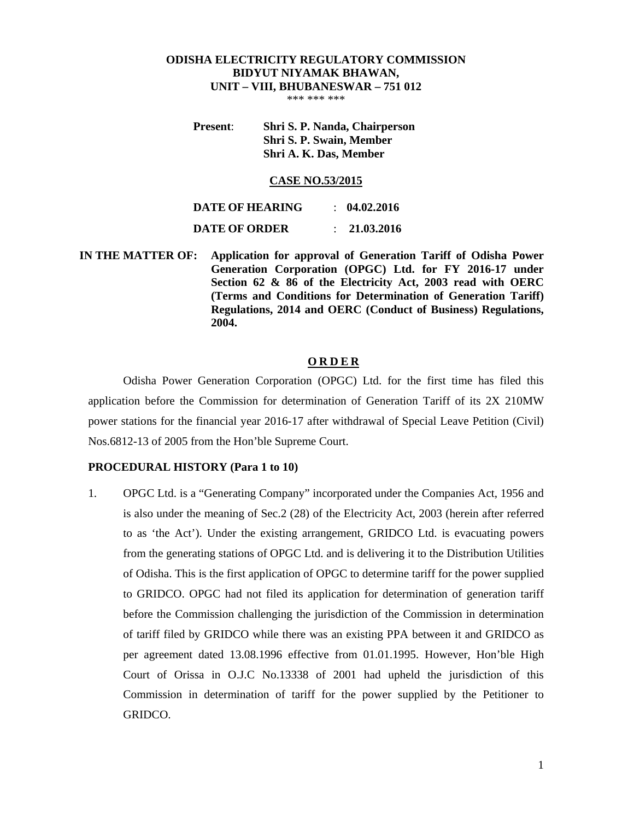## **ODISHA ELECTRICITY REGULATORY COMMISSION BIDYUT NIYAMAK BHAWAN, UNIT – VIII, BHUBANESWAR – 751 012**

\*\*\* \*\*\* \*\*\*

## **Present**: **Shri S. P. Nanda, Chairperson Shri S. P. Swain, Member Shri A. K. Das, Member**

#### **CASE NO.53/2015**

| DATE OF HEARING      | $\therefore$ 04.02.2016 |
|----------------------|-------------------------|
| <b>DATE OF ORDER</b> | : 21.03.2016            |

 **IN THE MATTER OF: Application for approval of Generation Tariff of Odisha Power Generation Corporation (OPGC) Ltd. for FY 2016-17 under Section 62 & 86 of the Electricity Act, 2003 read with OERC (Terms and Conditions for Determination of Generation Tariff) Regulations, 2014 and OERC (Conduct of Business) Regulations, 2004.** 

#### **O R D E R**

Odisha Power Generation Corporation (OPGC) Ltd. for the first time has filed this application before the Commission for determination of Generation Tariff of its 2X 210MW power stations for the financial year 2016-17 after withdrawal of Special Leave Petition (Civil) Nos.6812-13 of 2005 from the Hon'ble Supreme Court.

## **PROCEDURAL HISTORY (Para 1 to 10)**

1. OPGC Ltd. is a "Generating Company" incorporated under the Companies Act, 1956 and is also under the meaning of Sec.2 (28) of the Electricity Act, 2003 (herein after referred to as 'the Act'). Under the existing arrangement, GRIDCO Ltd. is evacuating powers from the generating stations of OPGC Ltd. and is delivering it to the Distribution Utilities of Odisha. This is the first application of OPGC to determine tariff for the power supplied to GRIDCO. OPGC had not filed its application for determination of generation tariff before the Commission challenging the jurisdiction of the Commission in determination of tariff filed by GRIDCO while there was an existing PPA between it and GRIDCO as per agreement dated 13.08.1996 effective from 01.01.1995. However, Hon'ble High Court of Orissa in O.J.C No.13338 of 2001 had upheld the jurisdiction of this Commission in determination of tariff for the power supplied by the Petitioner to GRIDCO.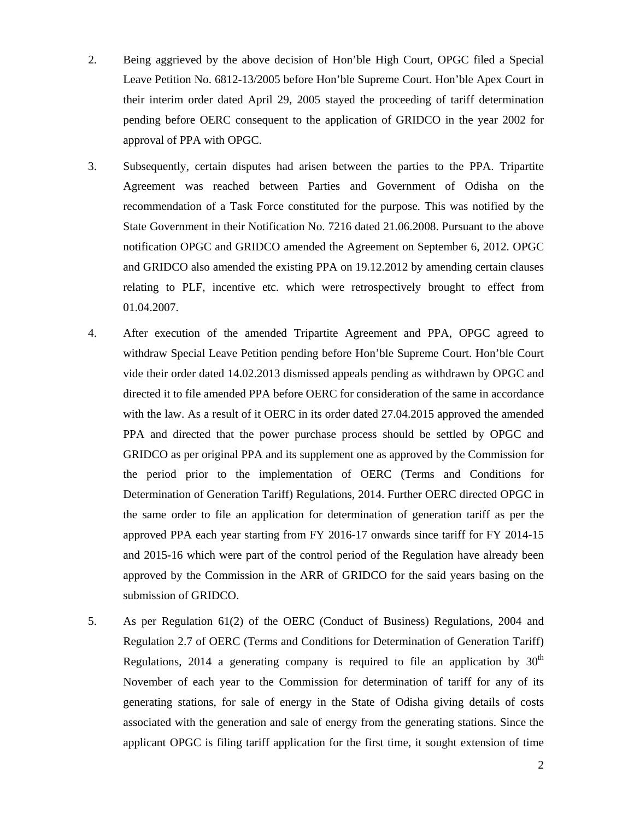- 2. Being aggrieved by the above decision of Hon'ble High Court, OPGC filed a Special Leave Petition No. 6812-13/2005 before Hon'ble Supreme Court. Hon'ble Apex Court in their interim order dated April 29, 2005 stayed the proceeding of tariff determination pending before OERC consequent to the application of GRIDCO in the year 2002 for approval of PPA with OPGC.
- 3. Subsequently, certain disputes had arisen between the parties to the PPA. Tripartite Agreement was reached between Parties and Government of Odisha on the recommendation of a Task Force constituted for the purpose. This was notified by the State Government in their Notification No. 7216 dated 21.06.2008. Pursuant to the above notification OPGC and GRIDCO amended the Agreement on September 6, 2012. OPGC and GRIDCO also amended the existing PPA on 19.12.2012 by amending certain clauses relating to PLF, incentive etc. which were retrospectively brought to effect from 01.04.2007.
- 4. After execution of the amended Tripartite Agreement and PPA, OPGC agreed to withdraw Special Leave Petition pending before Hon'ble Supreme Court. Hon'ble Court vide their order dated 14.02.2013 dismissed appeals pending as withdrawn by OPGC and directed it to file amended PPA before OERC for consideration of the same in accordance with the law. As a result of it OERC in its order dated 27.04.2015 approved the amended PPA and directed that the power purchase process should be settled by OPGC and GRIDCO as per original PPA and its supplement one as approved by the Commission for the period prior to the implementation of OERC (Terms and Conditions for Determination of Generation Tariff) Regulations, 2014. Further OERC directed OPGC in the same order to file an application for determination of generation tariff as per the approved PPA each year starting from FY 2016-17 onwards since tariff for FY 2014-15 and 2015-16 which were part of the control period of the Regulation have already been approved by the Commission in the ARR of GRIDCO for the said years basing on the submission of GRIDCO.
- 5. As per Regulation 61(2) of the OERC (Conduct of Business) Regulations, 2004 and Regulation 2.7 of OERC (Terms and Conditions for Determination of Generation Tariff) Regulations, 2014 a generating company is required to file an application by  $30<sup>th</sup>$ November of each year to the Commission for determination of tariff for any of its generating stations, for sale of energy in the State of Odisha giving details of costs associated with the generation and sale of energy from the generating stations. Since the applicant OPGC is filing tariff application for the first time, it sought extension of time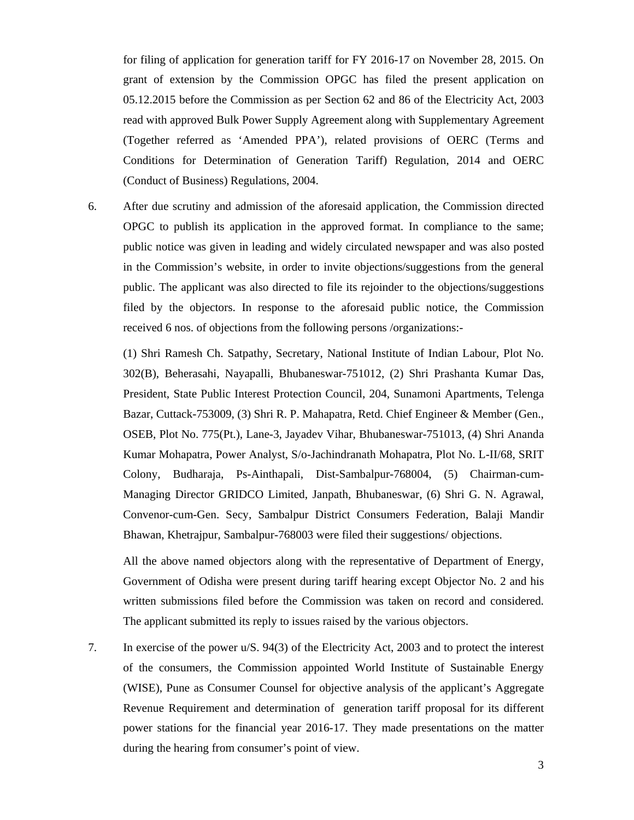for filing of application for generation tariff for FY 2016-17 on November 28, 2015. On grant of extension by the Commission OPGC has filed the present application on 05.12.2015 before the Commission as per Section 62 and 86 of the Electricity Act, 2003 read with approved Bulk Power Supply Agreement along with Supplementary Agreement (Together referred as 'Amended PPA'), related provisions of OERC (Terms and Conditions for Determination of Generation Tariff) Regulation, 2014 and OERC (Conduct of Business) Regulations, 2004.

6. After due scrutiny and admission of the aforesaid application, the Commission directed OPGC to publish its application in the approved format. In compliance to the same; public notice was given in leading and widely circulated newspaper and was also posted in the Commission's website, in order to invite objections/suggestions from the general public. The applicant was also directed to file its rejoinder to the objections/suggestions filed by the objectors. In response to the aforesaid public notice, the Commission received 6 nos. of objections from the following persons /organizations:-

(1) Shri Ramesh Ch. Satpathy, Secretary, National Institute of Indian Labour, Plot No. 302(B), Beherasahi, Nayapalli, Bhubaneswar-751012, (2) Shri Prashanta Kumar Das, President, State Public Interest Protection Council, 204, Sunamoni Apartments, Telenga Bazar, Cuttack-753009, (3) Shri R. P. Mahapatra, Retd. Chief Engineer & Member (Gen., OSEB, Plot No. 775(Pt.), Lane-3, Jayadev Vihar, Bhubaneswar-751013, (4) Shri Ananda Kumar Mohapatra, Power Analyst, S/o-Jachindranath Mohapatra, Plot No. L-II/68, SRIT Colony, Budharaja, Ps-Ainthapali, Dist-Sambalpur-768004, (5) Chairman-cum-Managing Director GRIDCO Limited, Janpath, Bhubaneswar, (6) Shri G. N. Agrawal, Convenor-cum-Gen. Secy, Sambalpur District Consumers Federation, Balaji Mandir Bhawan, Khetrajpur, Sambalpur-768003 were filed their suggestions/ objections.

All the above named objectors along with the representative of Department of Energy, Government of Odisha were present during tariff hearing except Objector No. 2 and his written submissions filed before the Commission was taken on record and considered. The applicant submitted its reply to issues raised by the various objectors.

7. In exercise of the power u/S. 94(3) of the Electricity Act, 2003 and to protect the interest of the consumers, the Commission appointed World Institute of Sustainable Energy (WISE), Pune as Consumer Counsel for objective analysis of the applicant's Aggregate Revenue Requirement and determination of generation tariff proposal for its different power stations for the financial year 2016-17. They made presentations on the matter during the hearing from consumer's point of view.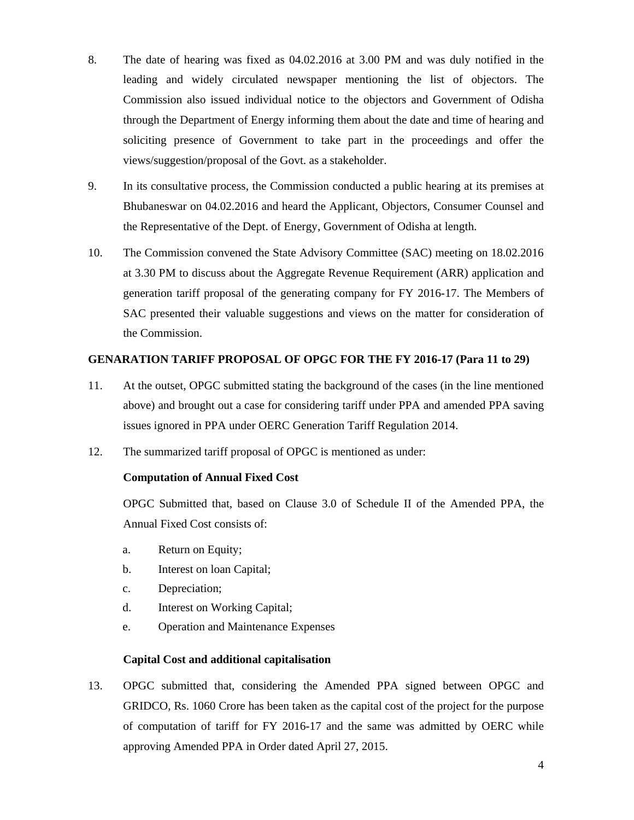- 8. The date of hearing was fixed as 04.02.2016 at 3.00 PM and was duly notified in the leading and widely circulated newspaper mentioning the list of objectors. The Commission also issued individual notice to the objectors and Government of Odisha through the Department of Energy informing them about the date and time of hearing and soliciting presence of Government to take part in the proceedings and offer the views/suggestion/proposal of the Govt. as a stakeholder.
- 9. In its consultative process, the Commission conducted a public hearing at its premises at Bhubaneswar on 04.02.2016 and heard the Applicant, Objectors, Consumer Counsel and the Representative of the Dept. of Energy, Government of Odisha at length.
- 10. The Commission convened the State Advisory Committee (SAC) meeting on 18.02.2016 at 3.30 PM to discuss about the Aggregate Revenue Requirement (ARR) application and generation tariff proposal of the generating company for FY 2016-17. The Members of SAC presented their valuable suggestions and views on the matter for consideration of the Commission.

## **GENARATION TARIFF PROPOSAL OF OPGC FOR THE FY 2016-17 (Para 11 to 29)**

- 11. At the outset, OPGC submitted stating the background of the cases (in the line mentioned above) and brought out a case for considering tariff under PPA and amended PPA saving issues ignored in PPA under OERC Generation Tariff Regulation 2014.
- 12. The summarized tariff proposal of OPGC is mentioned as under:

## **Computation of Annual Fixed Cost**

OPGC Submitted that, based on Clause 3.0 of Schedule II of the Amended PPA, the Annual Fixed Cost consists of:

- a. Return on Equity;
- b. Interest on loan Capital;
- c. Depreciation;
- d. Interest on Working Capital;
- e. Operation and Maintenance Expenses

## **Capital Cost and additional capitalisation**

13. OPGC submitted that, considering the Amended PPA signed between OPGC and GRIDCO, Rs. 1060 Crore has been taken as the capital cost of the project for the purpose of computation of tariff for FY 2016-17 and the same was admitted by OERC while approving Amended PPA in Order dated April 27, 2015.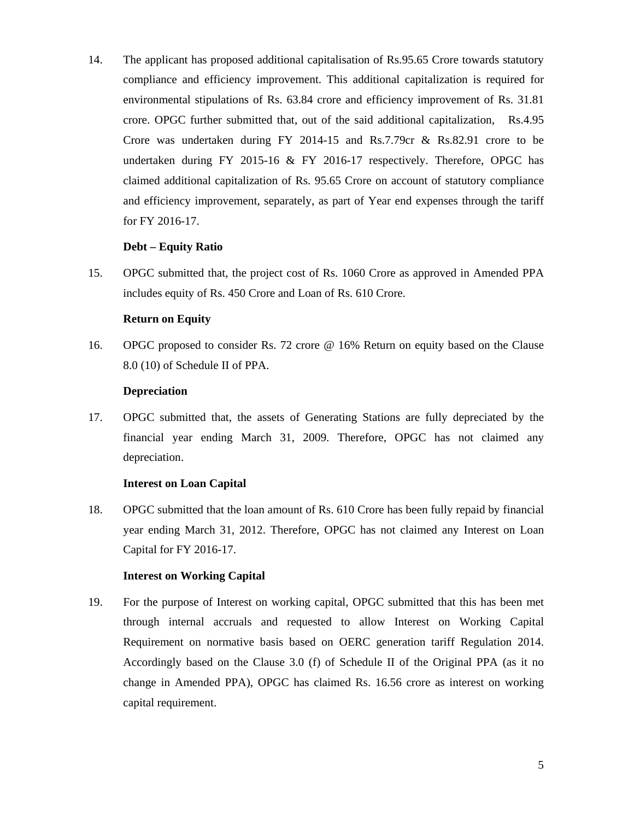14. The applicant has proposed additional capitalisation of Rs.95.65 Crore towards statutory compliance and efficiency improvement. This additional capitalization is required for environmental stipulations of Rs. 63.84 crore and efficiency improvement of Rs. 31.81 crore. OPGC further submitted that, out of the said additional capitalization, Rs.4.95 Crore was undertaken during  $FY$  2014-15 and Rs.7.79cr & Rs.82.91 crore to be undertaken during FY 2015-16 & FY 2016-17 respectively. Therefore, OPGC has claimed additional capitalization of Rs. 95.65 Crore on account of statutory compliance and efficiency improvement, separately, as part of Year end expenses through the tariff for FY 2016-17.

## **Debt – Equity Ratio**

15. OPGC submitted that, the project cost of Rs. 1060 Crore as approved in Amended PPA includes equity of Rs. 450 Crore and Loan of Rs. 610 Crore.

## **Return on Equity**

16. OPGC proposed to consider Rs. 72 crore @ 16% Return on equity based on the Clause 8.0 (10) of Schedule II of PPA.

## **Depreciation**

17. OPGC submitted that, the assets of Generating Stations are fully depreciated by the financial year ending March 31, 2009. Therefore, OPGC has not claimed any depreciation.

## **Interest on Loan Capital**

18. OPGC submitted that the loan amount of Rs. 610 Crore has been fully repaid by financial year ending March 31, 2012. Therefore, OPGC has not claimed any Interest on Loan Capital for FY 2016-17.

## **Interest on Working Capital**

19. For the purpose of Interest on working capital, OPGC submitted that this has been met through internal accruals and requested to allow Interest on Working Capital Requirement on normative basis based on OERC generation tariff Regulation 2014. Accordingly based on the Clause 3.0 (f) of Schedule II of the Original PPA (as it no change in Amended PPA), OPGC has claimed Rs. 16.56 crore as interest on working capital requirement.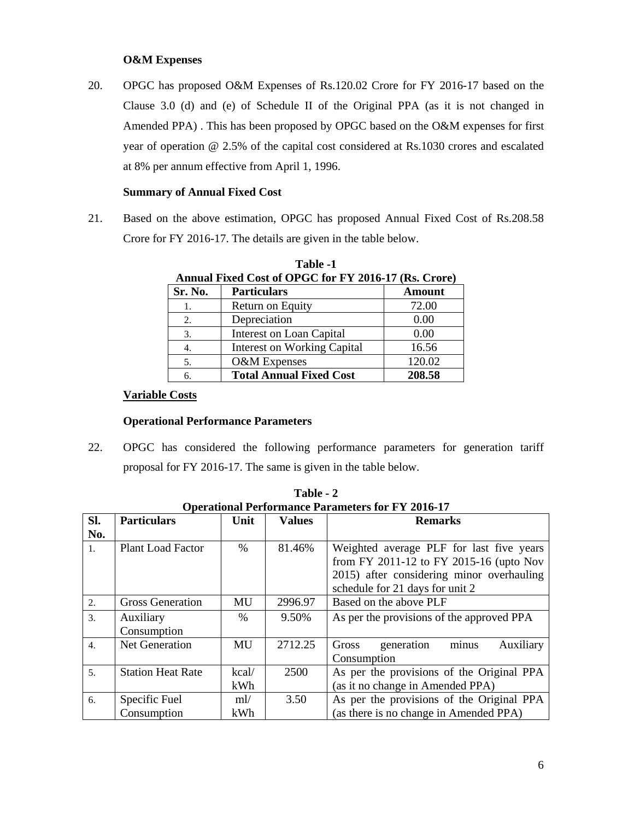## **O&M Expenses**

20. OPGC has proposed O&M Expenses of Rs.120.02 Crore for FY 2016-17 based on the Clause 3.0 (d) and (e) of Schedule II of the Original PPA (as it is not changed in Amended PPA) . This has been proposed by OPGC based on the O&M expenses for first year of operation @ 2.5% of the capital cost considered at Rs.1030 crores and escalated at 8% per annum effective from April 1, 1996.

## **Summary of Annual Fixed Cost**

21. Based on the above estimation, OPGC has proposed Annual Fixed Cost of Rs.208.58 Crore for FY 2016-17. The details are given in the table below.

|         | Alliuai Fixtu Cost of OI GC for F I Zoto-I / (Rs. Croft) |               |
|---------|----------------------------------------------------------|---------------|
| Sr. No. | <b>Particulars</b>                                       | <b>Amount</b> |
| 1.      | Return on Equity                                         | 72.00         |
| 2.      | Depreciation                                             | 0.00          |
| 3.      | Interest on Loan Capital                                 | 0.00          |
| 4.      | <b>Interest on Working Capital</b>                       | 16.56         |
| 5.      | O&M Expenses                                             | 120.02        |
| 6.      | <b>Total Annual Fixed Cost</b>                           | 208.58        |

**Table -1 Annual Fixed Cost of OPGC for FY 2016-17 (Rs. Crore)** 

## **Variable Costs**

## **Operational Performance Parameters**

22. OPGC has considered the following performance parameters for generation tariff proposal for FY 2016-17. The same is given in the table below.

|                  | Operational Performance Parameters for FY 2016-17 |           |               |                                                                                                                                                                     |  |
|------------------|---------------------------------------------------|-----------|---------------|---------------------------------------------------------------------------------------------------------------------------------------------------------------------|--|
| SI.              | <b>Particulars</b>                                | Unit      | <b>Values</b> | <b>Remarks</b>                                                                                                                                                      |  |
| No.              |                                                   |           |               |                                                                                                                                                                     |  |
| $\mathbf{1}$ .   | <b>Plant Load Factor</b>                          | $\%$      | 81.46%        | Weighted average PLF for last five years<br>from FY 2011-12 to FY 2015-16 (upto Nov<br>2015) after considering minor overhauling<br>schedule for 21 days for unit 2 |  |
| $\overline{2}$ . | <b>Gross Generation</b>                           | MU        | 2996.97       | Based on the above PLF                                                                                                                                              |  |
| 3.               | Auxiliary                                         | $\%$      | 9.50%         | As per the provisions of the approved PPA                                                                                                                           |  |
|                  | Consumption                                       |           |               |                                                                                                                                                                     |  |
| $\overline{4}$ . | <b>Net Generation</b>                             | <b>MU</b> | 2712.25       | minus<br>generation<br>Auxiliary<br>Gross<br>Consumption                                                                                                            |  |
| 5 <sub>1</sub>   | <b>Station Heat Rate</b>                          | kcal/     | 2500          | As per the provisions of the Original PPA                                                                                                                           |  |
|                  |                                                   | kWh       |               | (as it no change in Amended PPA)                                                                                                                                    |  |
| 6.               | Specific Fuel                                     | ml/       | 3.50          | As per the provisions of the Original PPA                                                                                                                           |  |
|                  | Consumption                                       | kWh       |               | (as there is no change in Amended PPA)                                                                                                                              |  |

**Table - 2 Operational Performance Parameters for FY 2016-17**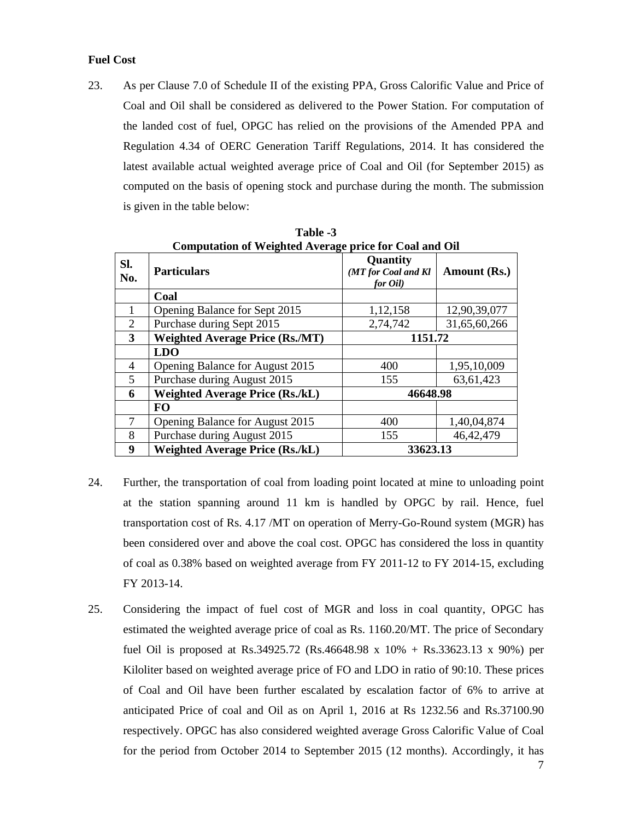## **Fuel Cost**

23. As per Clause 7.0 of Schedule II of the existing PPA, Gross Calorific Value and Price of Coal and Oil shall be considered as delivered to the Power Station. For computation of the landed cost of fuel, OPGC has relied on the provisions of the Amended PPA and Regulation 4.34 of OERC Generation Tariff Regulations, 2014. It has considered the latest available actual weighted average price of Coal and Oil (for September 2015) as computed on the basis of opening stock and purchase during the month. The submission is given in the table below:

|                | <b>Computation of Weighted Average price for Coal and Oil</b> |                                             |              |  |
|----------------|---------------------------------------------------------------|---------------------------------------------|--------------|--|
| SI.<br>No.     | <b>Particulars</b>                                            | Quantity<br>(MT for Coal and Kl<br>for Oil) | Amount (Rs.) |  |
|                | Coal                                                          |                                             |              |  |
|                | Opening Balance for Sept 2015                                 | 1,12,158                                    | 12,90,39,077 |  |
| $\overline{2}$ | Purchase during Sept 2015                                     | 2,74,742                                    | 31,65,60,266 |  |
| 3              | <b>Weighted Average Price (Rs./MT)</b>                        | 1151.72                                     |              |  |
|                | <b>LDO</b>                                                    |                                             |              |  |
| 4              | Opening Balance for August 2015                               | 400                                         | 1,95,10,009  |  |
| 5              | Purchase during August 2015                                   | 155                                         | 63,61,423    |  |
| 6              | <b>Weighted Average Price (Rs./kL)</b>                        | 46648.98                                    |              |  |
|                | <b>FO</b>                                                     |                                             |              |  |
| 7              | Opening Balance for August 2015                               | 400                                         | 1,40,04,874  |  |
| 8              | Purchase during August 2015                                   | 155                                         | 46, 42, 479  |  |
| 9              | <b>Weighted Average Price (Rs./kL)</b>                        | 33623.13                                    |              |  |

**Table -3** 

- 24. Further, the transportation of coal from loading point located at mine to unloading point at the station spanning around 11 km is handled by OPGC by rail. Hence, fuel transportation cost of Rs. 4.17 /MT on operation of Merry-Go-Round system (MGR) has been considered over and above the coal cost. OPGC has considered the loss in quantity of coal as 0.38% based on weighted average from FY 2011-12 to FY 2014-15, excluding FY 2013-14.
- 25. Considering the impact of fuel cost of MGR and loss in coal quantity, OPGC has estimated the weighted average price of coal as Rs. 1160.20/MT. The price of Secondary fuel Oil is proposed at Rs.34925.72 (Rs.46648.98 x 10% + Rs.33623.13 x 90%) per Kiloliter based on weighted average price of FO and LDO in ratio of 90:10. These prices of Coal and Oil have been further escalated by escalation factor of 6% to arrive at anticipated Price of coal and Oil as on April 1, 2016 at Rs 1232.56 and Rs.37100.90 respectively. OPGC has also considered weighted average Gross Calorific Value of Coal for the period from October 2014 to September 2015 (12 months). Accordingly, it has

7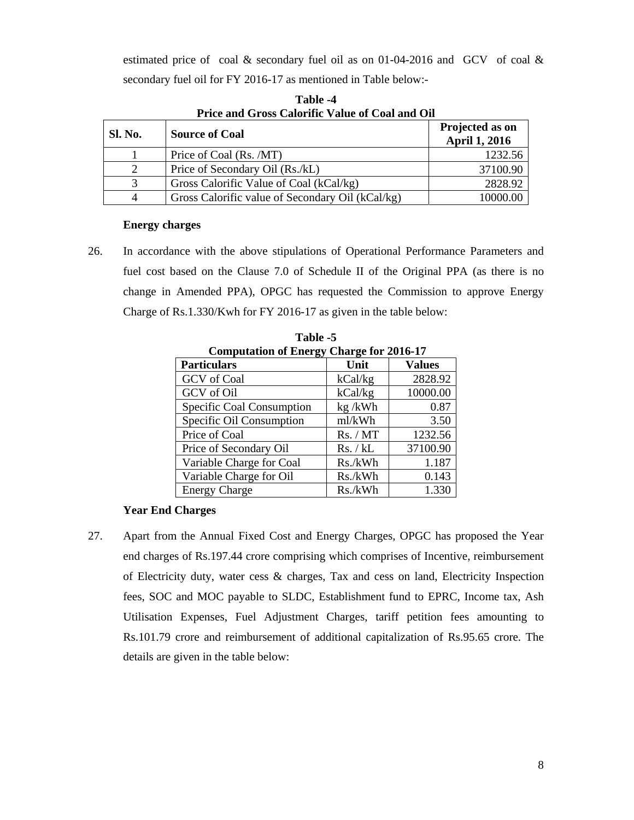estimated price of coal  $\&$  secondary fuel oil as on 01-04-2016 and GCV of coal  $\&$ secondary fuel oil for FY 2016-17 as mentioned in Table below:-

|                | TTRC and OTOS Calvinic Tange of Coal and On      |                                         |
|----------------|--------------------------------------------------|-----------------------------------------|
| <b>Sl. No.</b> | <b>Source of Coal</b>                            | Projected as on<br><b>April 1, 2016</b> |
|                | Price of Coal (Rs. /MT)                          | 1232.56                                 |
|                | Price of Secondary Oil (Rs./kL)                  | 37100.90                                |
| $\mathcal{R}$  | Gross Calorific Value of Coal (kCal/kg)          | 2828.92                                 |
|                | Gross Calorific value of Secondary Oil (kCal/kg) | 10000.00                                |

**Table -4 Price and Gross Calorific Value of Coal and Oil**

## **Energy charges**

26. In accordance with the above stipulations of Operational Performance Parameters and fuel cost based on the Clause 7.0 of Schedule II of the Original PPA (as there is no change in Amended PPA), OPGC has requested the Commission to approve Energy Charge of Rs.1.330/Kwh for FY 2016-17 as given in the table below:

| <b>Computation of Energy Charge for 2016-17</b> |          |               |
|-------------------------------------------------|----------|---------------|
| <b>Particulars</b>                              | Unit     | <b>Values</b> |
| GCV of Coal                                     | kCal/kg  | 2828.92       |
| GCV of Oil                                      | kCal/kg  | 10000.00      |
| Specific Coal Consumption                       | kg/kWh   | 0.87          |
| Specific Oil Consumption                        | ml/kWh   | 3.50          |
| Price of Coal                                   | Rs. / MT | 1232.56       |
| Price of Secondary Oil                          | Rs. / kL | 37100.90      |
| Variable Charge for Coal                        | Rs./kWh  | 1.187         |
| Variable Charge for Oil                         | Rs./kWh  | 0.143         |
| <b>Energy Charge</b>                            | Rs./kWh  | 1.330         |

**Table -5** 

#### **Year End Charges**

27. Apart from the Annual Fixed Cost and Energy Charges, OPGC has proposed the Year end charges of Rs.197.44 crore comprising which comprises of Incentive, reimbursement of Electricity duty, water cess & charges, Tax and cess on land, Electricity Inspection fees, SOC and MOC payable to SLDC, Establishment fund to EPRC, Income tax, Ash Utilisation Expenses, Fuel Adjustment Charges, tariff petition fees amounting to Rs.101.79 crore and reimbursement of additional capitalization of Rs.95.65 crore. The details are given in the table below: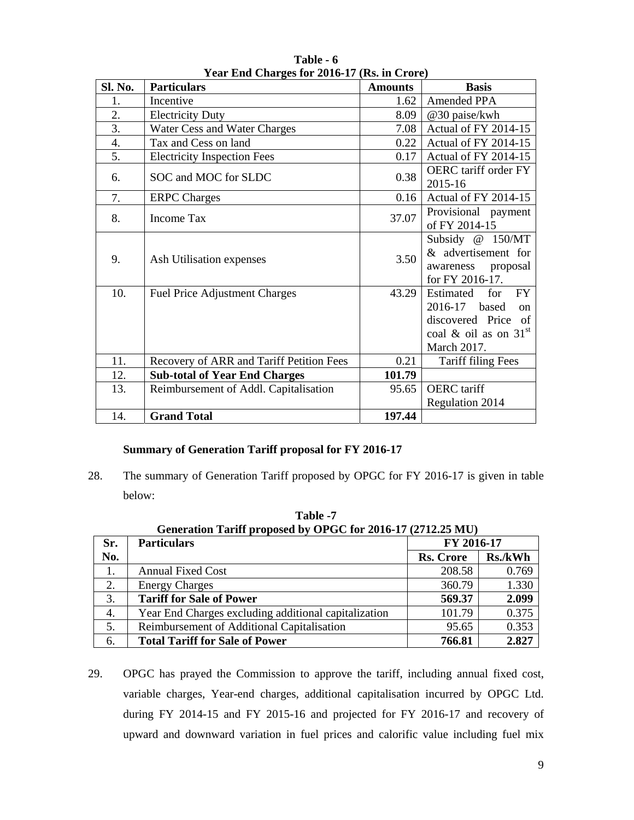|                | $1 \text{ cm}$ $1 \text{ cm}$ $1 \text{ cm}$ $1 \text{ cm}$ $1 \text{ cm}$ $1 \text{ cm}$ |                |                                                                                                                                  |  |
|----------------|-------------------------------------------------------------------------------------------|----------------|----------------------------------------------------------------------------------------------------------------------------------|--|
| <b>Sl. No.</b> | <b>Particulars</b>                                                                        | <b>Amounts</b> | <b>Basis</b>                                                                                                                     |  |
| 1.             | Incentive                                                                                 | 1.62           | <b>Amended PPA</b>                                                                                                               |  |
| 2.             | <b>Electricity Duty</b>                                                                   | 8.09           | @30 paise/kwh                                                                                                                    |  |
| 3.             | Water Cess and Water Charges                                                              | 7.08           | Actual of FY 2014-15                                                                                                             |  |
| 4.             | Tax and Cess on land                                                                      | 0.22           | Actual of FY 2014-15                                                                                                             |  |
| 5.             | <b>Electricity Inspection Fees</b>                                                        | 0.17           | Actual of FY 2014-15                                                                                                             |  |
| 6.             | SOC and MOC for SLDC                                                                      | 0.38           | OERC tariff order FY<br>2015-16                                                                                                  |  |
| 7.             | <b>ERPC Charges</b>                                                                       | 0.16           | Actual of FY 2014-15                                                                                                             |  |
| 8.             | Income Tax                                                                                | 37.07          | Provisional payment<br>of FY 2014-15                                                                                             |  |
| 9.             | Ash Utilisation expenses                                                                  | 3.50           | Subsidy @ 150/MT<br>& advertisement for<br>proposal<br>awareness<br>for FY 2016-17.                                              |  |
| 10.            | <b>Fuel Price Adjustment Charges</b>                                                      | 43.29          | Estimated<br>for<br><b>FY</b><br>2016-17 based<br><sub>on</sub><br>discovered Price of<br>coal & oil as on $31st$<br>March 2017. |  |
| 11.            | Recovery of ARR and Tariff Petition Fees                                                  | 0.21           | <b>Tariff filing Fees</b>                                                                                                        |  |
| 12.            | <b>Sub-total of Year End Charges</b>                                                      | 101.79         |                                                                                                                                  |  |
| 13.            | Reimbursement of Addl. Capitalisation                                                     | 95.65          | <b>OERC</b> tariff                                                                                                               |  |
|                |                                                                                           |                | Regulation 2014                                                                                                                  |  |
| 14.            | <b>Grand Total</b>                                                                        | 197.44         |                                                                                                                                  |  |

**Table - 6 Year End Charges for 2016-17 (Rs. in Crore)** 

## **Summary of Generation Tariff proposal for FY 2016-17**

28. The summary of Generation Tariff proposed by OPGC for FY 2016-17 is given in table below:

| Sr. | <b>Particulars</b>                                   | FY 2016-17       |         |
|-----|------------------------------------------------------|------------------|---------|
| No. |                                                      | <b>Rs. Crore</b> | Rs./kWh |
| 1.  | <b>Annual Fixed Cost</b>                             | 208.58           | 0.769   |
| 2.  | <b>Energy Charges</b>                                | 360.79           | 1.330   |
| 3.  | <b>Tariff for Sale of Power</b>                      | 569.37           | 2.099   |
| 4.  | Year End Charges excluding additional capitalization | 101.79           | 0.375   |
| 5.  | Reimbursement of Additional Capitalisation           | 95.65            | 0.353   |
| 6.  | <b>Total Tariff for Sale of Power</b>                | 766.81           | 2.827   |

**Table -7 Generation Tariff proposed by OPGC for 2016-17 (2712.25 MU)** 

29. OPGC has prayed the Commission to approve the tariff, including annual fixed cost, variable charges, Year-end charges, additional capitalisation incurred by OPGC Ltd. during FY 2014-15 and FY 2015-16 and projected for FY 2016-17 and recovery of upward and downward variation in fuel prices and calorific value including fuel mix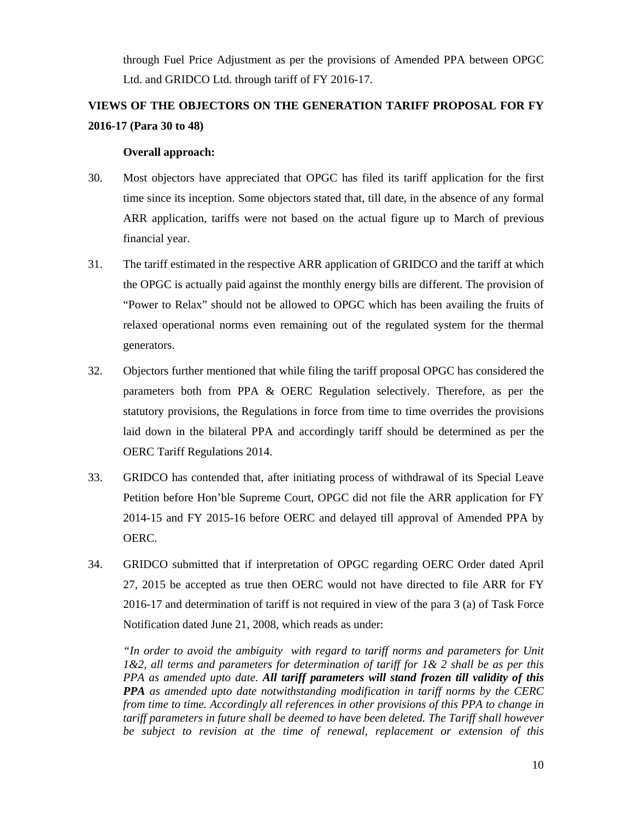through Fuel Price Adjustment as per the provisions of Amended PPA between OPGC Ltd. and GRIDCO Ltd. through tariff of FY 2016-17.

# **VIEWS OF THE OBJECTORS ON THE GENERATION TARIFF PROPOSAL FOR FY 2016-17 (Para 30 to 48)**

## **Overall approach:**

- 30. Most objectors have appreciated that OPGC has filed its tariff application for the first time since its inception. Some objectors stated that, till date, in the absence of any formal ARR application, tariffs were not based on the actual figure up to March of previous financial year.
- 31. The tariff estimated in the respective ARR application of GRIDCO and the tariff at which the OPGC is actually paid against the monthly energy bills are different. The provision of "Power to Relax" should not be allowed to OPGC which has been availing the fruits of relaxed operational norms even remaining out of the regulated system for the thermal generators.
- 32. Objectors further mentioned that while filing the tariff proposal OPGC has considered the parameters both from PPA & OERC Regulation selectively. Therefore, as per the statutory provisions, the Regulations in force from time to time overrides the provisions laid down in the bilateral PPA and accordingly tariff should be determined as per the OERC Tariff Regulations 2014.
- 33. GRIDCO has contended that, after initiating process of withdrawal of its Special Leave Petition before Hon'ble Supreme Court, OPGC did not file the ARR application for FY 2014-15 and FY 2015-16 before OERC and delayed till approval of Amended PPA by OERC.
- 34. GRIDCO submitted that if interpretation of OPGC regarding OERC Order dated April 27, 2015 be accepted as true then OERC would not have directed to file ARR for FY 2016-17 and determination of tariff is not required in view of the para 3 (a) of Task Force Notification dated June 21, 2008, which reads as under:

*"In order to avoid the ambiguity with regard to tariff norms and parameters for Unit 1&2, all terms and parameters for determination of tariff for 1& 2 shall be as per this PPA as amended upto date. All tariff parameters will stand frozen till validity of this PPA as amended upto date notwithstanding modification in tariff norms by the CERC from time to time. Accordingly all references in other provisions of this PPA to change in tariff parameters in future shall be deemed to have been deleted. The Tariff shall however be subject to revision at the time of renewal, replacement or extension of this*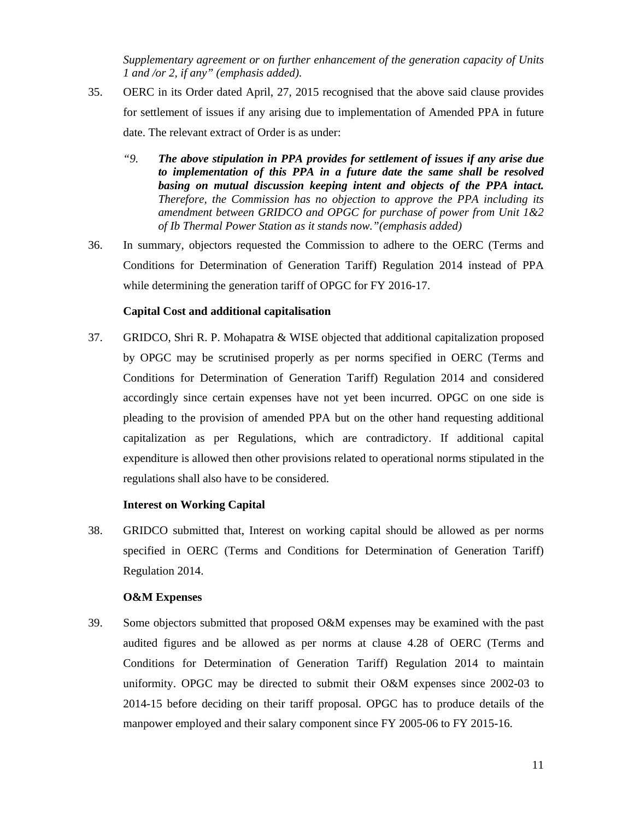*Supplementary agreement or on further enhancement of the generation capacity of Units 1 and /or 2, if any" (emphasis added).*

- 35. OERC in its Order dated April, 27, 2015 recognised that the above said clause provides for settlement of issues if any arising due to implementation of Amended PPA in future date. The relevant extract of Order is as under:
	- *"9. The above stipulation in PPA provides for settlement of issues if any arise due to implementation of this PPA in a future date the same shall be resolved basing on mutual discussion keeping intent and objects of the PPA intact. Therefore, the Commission has no objection to approve the PPA including its amendment between GRIDCO and OPGC for purchase of power from Unit 1&2 of Ib Thermal Power Station as it stands now."(emphasis added)*
- 36. In summary, objectors requested the Commission to adhere to the OERC (Terms and Conditions for Determination of Generation Tariff) Regulation 2014 instead of PPA while determining the generation tariff of OPGC for FY 2016-17.

#### **Capital Cost and additional capitalisation**

37. GRIDCO, Shri R. P. Mohapatra & WISE objected that additional capitalization proposed by OPGC may be scrutinised properly as per norms specified in OERC (Terms and Conditions for Determination of Generation Tariff) Regulation 2014 and considered accordingly since certain expenses have not yet been incurred. OPGC on one side is pleading to the provision of amended PPA but on the other hand requesting additional capitalization as per Regulations, which are contradictory. If additional capital expenditure is allowed then other provisions related to operational norms stipulated in the regulations shall also have to be considered.

#### **Interest on Working Capital**

38. GRIDCO submitted that, Interest on working capital should be allowed as per norms specified in OERC (Terms and Conditions for Determination of Generation Tariff) Regulation 2014.

#### **O&M Expenses**

39. Some objectors submitted that proposed O&M expenses may be examined with the past audited figures and be allowed as per norms at clause 4.28 of OERC (Terms and Conditions for Determination of Generation Tariff) Regulation 2014 to maintain uniformity. OPGC may be directed to submit their O&M expenses since 2002-03 to 2014-15 before deciding on their tariff proposal. OPGC has to produce details of the manpower employed and their salary component since FY 2005-06 to FY 2015-16.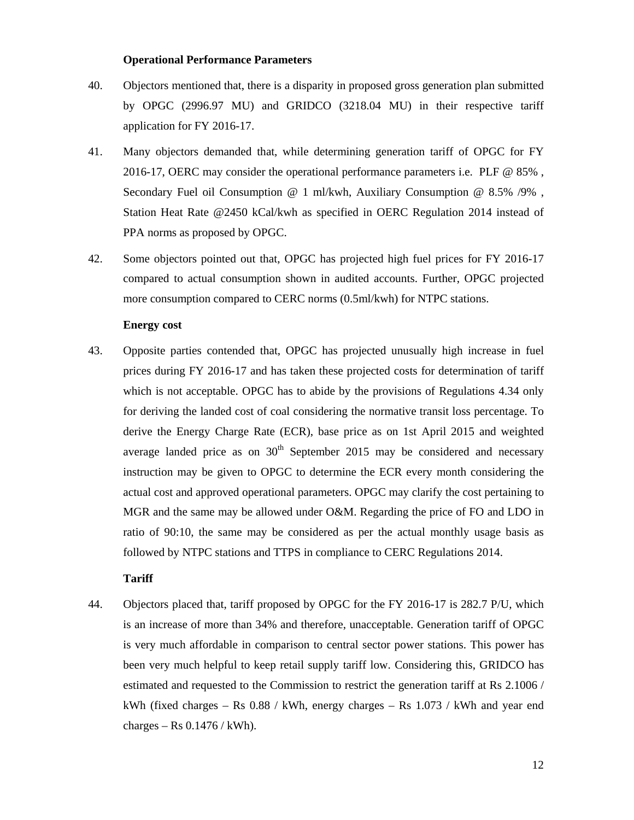#### **Operational Performance Parameters**

- 40. Objectors mentioned that, there is a disparity in proposed gross generation plan submitted by OPGC (2996.97 MU) and GRIDCO (3218.04 MU) in their respective tariff application for FY 2016-17.
- 41. Many objectors demanded that, while determining generation tariff of OPGC for FY 2016-17, OERC may consider the operational performance parameters i.e. PLF @ 85% , Secondary Fuel oil Consumption @ 1 ml/kwh, Auxiliary Consumption @ 8.5% /9% , Station Heat Rate @2450 kCal/kwh as specified in OERC Regulation 2014 instead of PPA norms as proposed by OPGC.
- 42. Some objectors pointed out that, OPGC has projected high fuel prices for FY 2016-17 compared to actual consumption shown in audited accounts. Further, OPGC projected more consumption compared to CERC norms (0.5ml/kwh) for NTPC stations.

#### **Energy cost**

43. Opposite parties contended that, OPGC has projected unusually high increase in fuel prices during FY 2016-17 and has taken these projected costs for determination of tariff which is not acceptable. OPGC has to abide by the provisions of Regulations 4.34 only for deriving the landed cost of coal considering the normative transit loss percentage. To derive the Energy Charge Rate (ECR), base price as on 1st April 2015 and weighted average landed price as on  $30<sup>th</sup>$  September 2015 may be considered and necessary instruction may be given to OPGC to determine the ECR every month considering the actual cost and approved operational parameters. OPGC may clarify the cost pertaining to MGR and the same may be allowed under O&M. Regarding the price of FO and LDO in ratio of 90:10, the same may be considered as per the actual monthly usage basis as followed by NTPC stations and TTPS in compliance to CERC Regulations 2014.

## **Tariff**

44. Objectors placed that, tariff proposed by OPGC for the FY 2016-17 is 282.7 P/U, which is an increase of more than 34% and therefore, unacceptable. Generation tariff of OPGC is very much affordable in comparison to central sector power stations. This power has been very much helpful to keep retail supply tariff low. Considering this, GRIDCO has estimated and requested to the Commission to restrict the generation tariff at Rs 2.1006 / kWh (fixed charges – Rs  $0.88 /$  kWh, energy charges – Rs  $1.073 /$  kWh and year end charges – Rs  $0.1476 /$  kWh).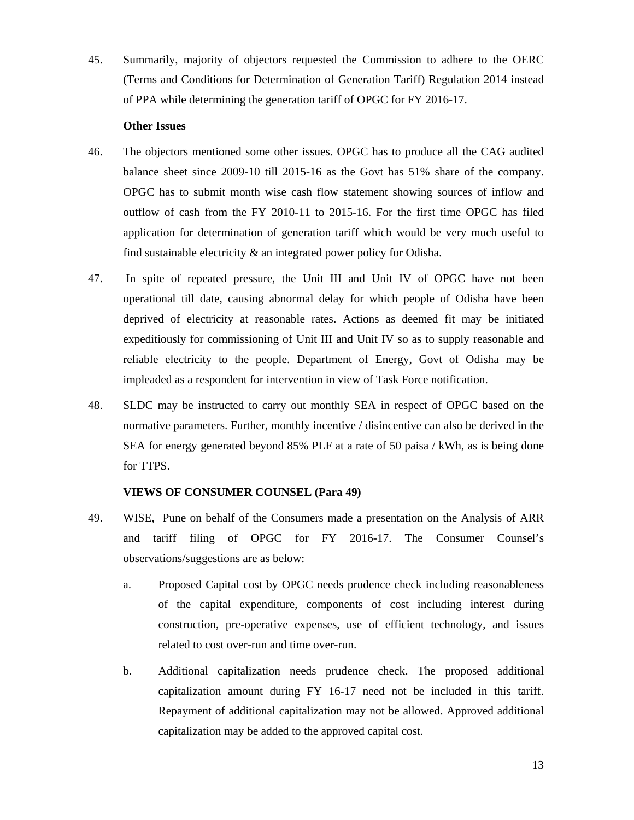45. Summarily, majority of objectors requested the Commission to adhere to the OERC (Terms and Conditions for Determination of Generation Tariff) Regulation 2014 instead of PPA while determining the generation tariff of OPGC for FY 2016-17.

#### **Other Issues**

- 46. The objectors mentioned some other issues. OPGC has to produce all the CAG audited balance sheet since 2009-10 till 2015-16 as the Govt has 51% share of the company. OPGC has to submit month wise cash flow statement showing sources of inflow and outflow of cash from the FY 2010-11 to 2015-16. For the first time OPGC has filed application for determination of generation tariff which would be very much useful to find sustainable electricity & an integrated power policy for Odisha.
- 47. In spite of repeated pressure, the Unit III and Unit IV of OPGC have not been operational till date, causing abnormal delay for which people of Odisha have been deprived of electricity at reasonable rates. Actions as deemed fit may be initiated expeditiously for commissioning of Unit III and Unit IV so as to supply reasonable and reliable electricity to the people. Department of Energy, Govt of Odisha may be impleaded as a respondent for intervention in view of Task Force notification.
- 48. SLDC may be instructed to carry out monthly SEA in respect of OPGC based on the normative parameters. Further, monthly incentive / disincentive can also be derived in the SEA for energy generated beyond 85% PLF at a rate of 50 paisa / kWh, as is being done for TTPS.

## **VIEWS OF CONSUMER COUNSEL (Para 49)**

- 49. WISE, Pune on behalf of the Consumers made a presentation on the Analysis of ARR and tariff filing of OPGC for FY 2016-17. The Consumer Counsel's observations/suggestions are as below:
	- a. Proposed Capital cost by OPGC needs prudence check including reasonableness of the capital expenditure, components of cost including interest during construction, pre-operative expenses, use of efficient technology, and issues related to cost over-run and time over-run.
	- b. Additional capitalization needs prudence check. The proposed additional capitalization amount during FY 16-17 need not be included in this tariff. Repayment of additional capitalization may not be allowed. Approved additional capitalization may be added to the approved capital cost.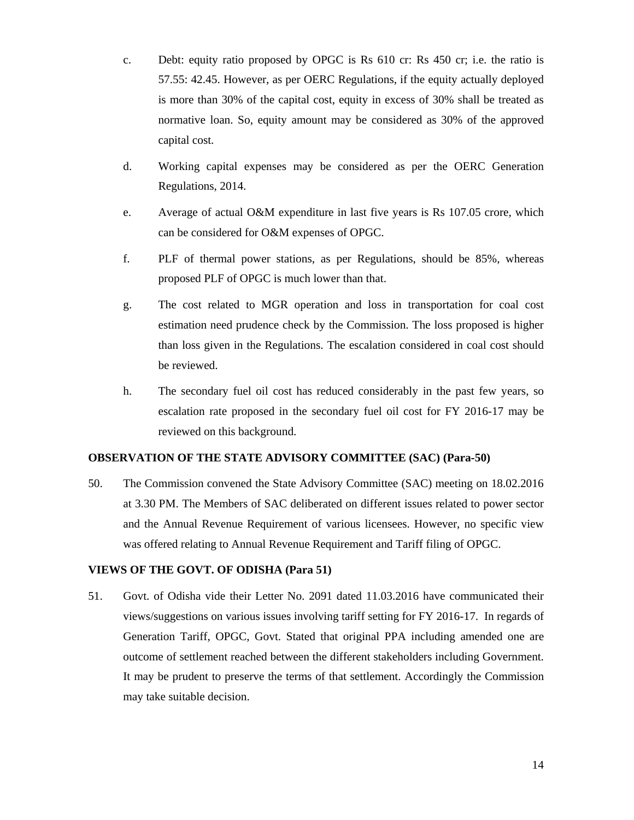- c. Debt: equity ratio proposed by OPGC is Rs 610 cr: Rs 450 cr; i.e. the ratio is 57.55: 42.45. However, as per OERC Regulations, if the equity actually deployed is more than 30% of the capital cost, equity in excess of 30% shall be treated as normative loan. So, equity amount may be considered as 30% of the approved capital cost.
- d. Working capital expenses may be considered as per the OERC Generation Regulations, 2014.
- e. Average of actual O&M expenditure in last five years is Rs 107.05 crore, which can be considered for O&M expenses of OPGC.
- f. PLF of thermal power stations, as per Regulations, should be 85%, whereas proposed PLF of OPGC is much lower than that.
- g. The cost related to MGR operation and loss in transportation for coal cost estimation need prudence check by the Commission. The loss proposed is higher than loss given in the Regulations. The escalation considered in coal cost should be reviewed.
- h. The secondary fuel oil cost has reduced considerably in the past few years, so escalation rate proposed in the secondary fuel oil cost for FY 2016-17 may be reviewed on this background.

## **OBSERVATION OF THE STATE ADVISORY COMMITTEE (SAC) (Para-50)**

50. The Commission convened the State Advisory Committee (SAC) meeting on 18.02.2016 at 3.30 PM. The Members of SAC deliberated on different issues related to power sector and the Annual Revenue Requirement of various licensees. However, no specific view was offered relating to Annual Revenue Requirement and Tariff filing of OPGC.

#### **VIEWS OF THE GOVT. OF ODISHA (Para 51)**

51. Govt. of Odisha vide their Letter No. 2091 dated 11.03.2016 have communicated their views/suggestions on various issues involving tariff setting for FY 2016-17. In regards of Generation Tariff, OPGC, Govt. Stated that original PPA including amended one are outcome of settlement reached between the different stakeholders including Government. It may be prudent to preserve the terms of that settlement. Accordingly the Commission may take suitable decision.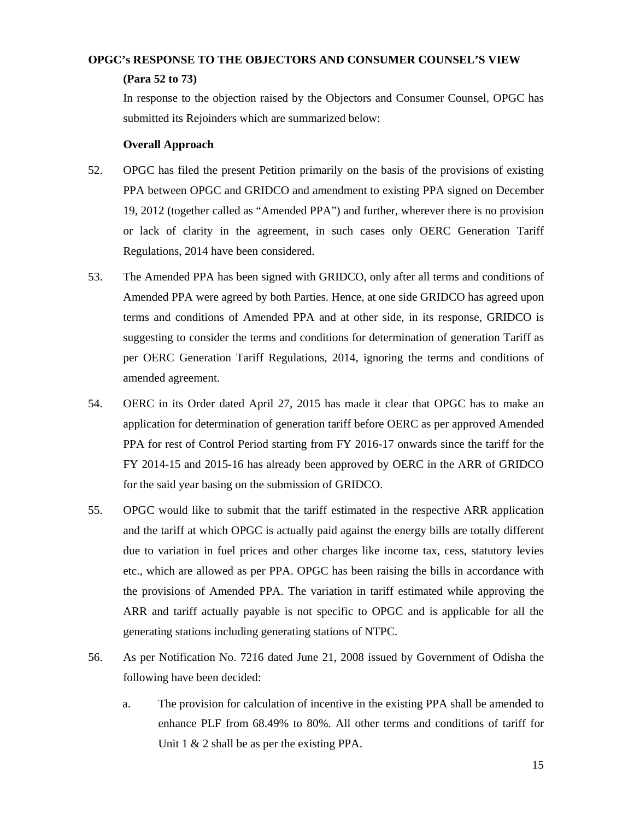# **OPGC's RESPONSE TO THE OBJECTORS AND CONSUMER COUNSEL'S VIEW**

## **(Para 52 to 73)**

In response to the objection raised by the Objectors and Consumer Counsel, OPGC has submitted its Rejoinders which are summarized below:

## **Overall Approach**

- 52. OPGC has filed the present Petition primarily on the basis of the provisions of existing PPA between OPGC and GRIDCO and amendment to existing PPA signed on December 19, 2012 (together called as "Amended PPA") and further, wherever there is no provision or lack of clarity in the agreement, in such cases only OERC Generation Tariff Regulations, 2014 have been considered.
- 53. The Amended PPA has been signed with GRIDCO, only after all terms and conditions of Amended PPA were agreed by both Parties. Hence, at one side GRIDCO has agreed upon terms and conditions of Amended PPA and at other side, in its response, GRIDCO is suggesting to consider the terms and conditions for determination of generation Tariff as per OERC Generation Tariff Regulations, 2014, ignoring the terms and conditions of amended agreement.
- 54. OERC in its Order dated April 27, 2015 has made it clear that OPGC has to make an application for determination of generation tariff before OERC as per approved Amended PPA for rest of Control Period starting from FY 2016-17 onwards since the tariff for the FY 2014-15 and 2015-16 has already been approved by OERC in the ARR of GRIDCO for the said year basing on the submission of GRIDCO.
- 55. OPGC would like to submit that the tariff estimated in the respective ARR application and the tariff at which OPGC is actually paid against the energy bills are totally different due to variation in fuel prices and other charges like income tax, cess, statutory levies etc., which are allowed as per PPA. OPGC has been raising the bills in accordance with the provisions of Amended PPA. The variation in tariff estimated while approving the ARR and tariff actually payable is not specific to OPGC and is applicable for all the generating stations including generating stations of NTPC.
- 56. As per Notification No. 7216 dated June 21, 2008 issued by Government of Odisha the following have been decided:
	- a. The provision for calculation of incentive in the existing PPA shall be amended to enhance PLF from 68.49% to 80%. All other terms and conditions of tariff for Unit 1 & 2 shall be as per the existing PPA.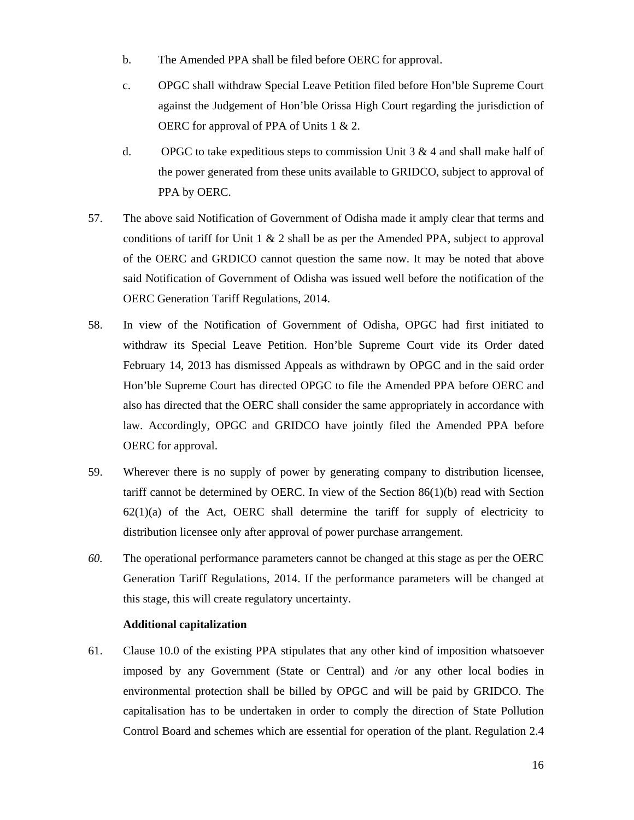- b. The Amended PPA shall be filed before OERC for approval.
- c. OPGC shall withdraw Special Leave Petition filed before Hon'ble Supreme Court against the Judgement of Hon'ble Orissa High Court regarding the jurisdiction of OERC for approval of PPA of Units 1 & 2.
- d. OPGC to take expeditious steps to commission Unit  $3 \& 4$  and shall make half of the power generated from these units available to GRIDCO, subject to approval of PPA by OERC.
- 57. The above said Notification of Government of Odisha made it amply clear that terms and conditions of tariff for Unit  $1 \& 2$  shall be as per the Amended PPA, subject to approval of the OERC and GRDICO cannot question the same now. It may be noted that above said Notification of Government of Odisha was issued well before the notification of the OERC Generation Tariff Regulations, 2014.
- 58. In view of the Notification of Government of Odisha, OPGC had first initiated to withdraw its Special Leave Petition. Hon'ble Supreme Court vide its Order dated February 14, 2013 has dismissed Appeals as withdrawn by OPGC and in the said order Hon'ble Supreme Court has directed OPGC to file the Amended PPA before OERC and also has directed that the OERC shall consider the same appropriately in accordance with law. Accordingly, OPGC and GRIDCO have jointly filed the Amended PPA before OERC for approval.
- 59. Wherever there is no supply of power by generating company to distribution licensee, tariff cannot be determined by OERC. In view of the Section  $86(1)(b)$  read with Section  $62(1)(a)$  of the Act, OERC shall determine the tariff for supply of electricity to distribution licensee only after approval of power purchase arrangement.
- *60.* The operational performance parameters cannot be changed at this stage as per the OERC Generation Tariff Regulations, 2014. If the performance parameters will be changed at this stage, this will create regulatory uncertainty.

## **Additional capitalization**

61. Clause 10.0 of the existing PPA stipulates that any other kind of imposition whatsoever imposed by any Government (State or Central) and /or any other local bodies in environmental protection shall be billed by OPGC and will be paid by GRIDCO. The capitalisation has to be undertaken in order to comply the direction of State Pollution Control Board and schemes which are essential for operation of the plant. Regulation 2.4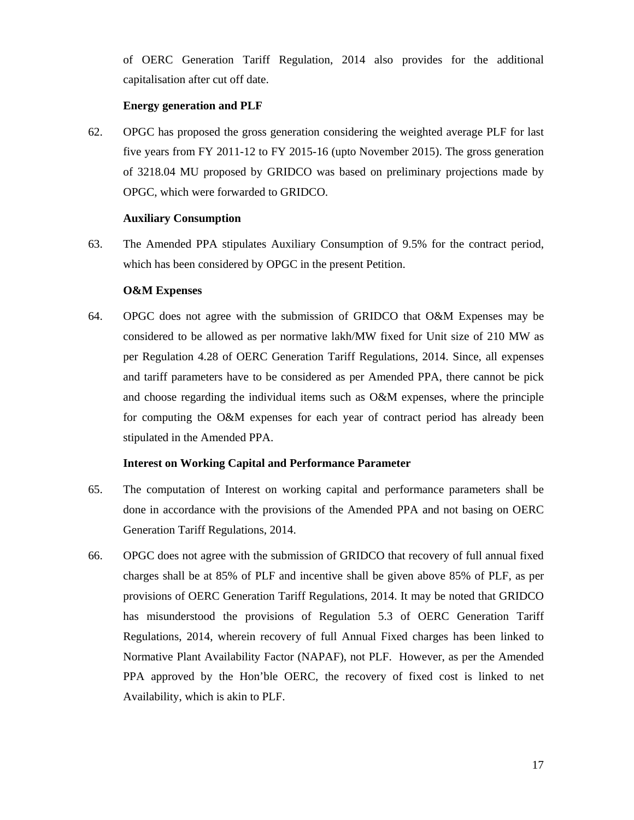of OERC Generation Tariff Regulation, 2014 also provides for the additional capitalisation after cut off date.

## **Energy generation and PLF**

62. OPGC has proposed the gross generation considering the weighted average PLF for last five years from FY 2011-12 to FY 2015-16 (upto November 2015). The gross generation of 3218.04 MU proposed by GRIDCO was based on preliminary projections made by OPGC, which were forwarded to GRIDCO.

## **Auxiliary Consumption**

63. The Amended PPA stipulates Auxiliary Consumption of 9.5% for the contract period, which has been considered by OPGC in the present Petition.

## **O&M Expenses**

64. OPGC does not agree with the submission of GRIDCO that O&M Expenses may be considered to be allowed as per normative lakh/MW fixed for Unit size of 210 MW as per Regulation 4.28 of OERC Generation Tariff Regulations, 2014. Since, all expenses and tariff parameters have to be considered as per Amended PPA, there cannot be pick and choose regarding the individual items such as O&M expenses, where the principle for computing the O&M expenses for each year of contract period has already been stipulated in the Amended PPA.

## **Interest on Working Capital and Performance Parameter**

- 65. The computation of Interest on working capital and performance parameters shall be done in accordance with the provisions of the Amended PPA and not basing on OERC Generation Tariff Regulations, 2014.
- 66. OPGC does not agree with the submission of GRIDCO that recovery of full annual fixed charges shall be at 85% of PLF and incentive shall be given above 85% of PLF, as per provisions of OERC Generation Tariff Regulations, 2014. It may be noted that GRIDCO has misunderstood the provisions of Regulation 5.3 of OERC Generation Tariff Regulations, 2014, wherein recovery of full Annual Fixed charges has been linked to Normative Plant Availability Factor (NAPAF), not PLF. However, as per the Amended PPA approved by the Hon'ble OERC, the recovery of fixed cost is linked to net Availability, which is akin to PLF.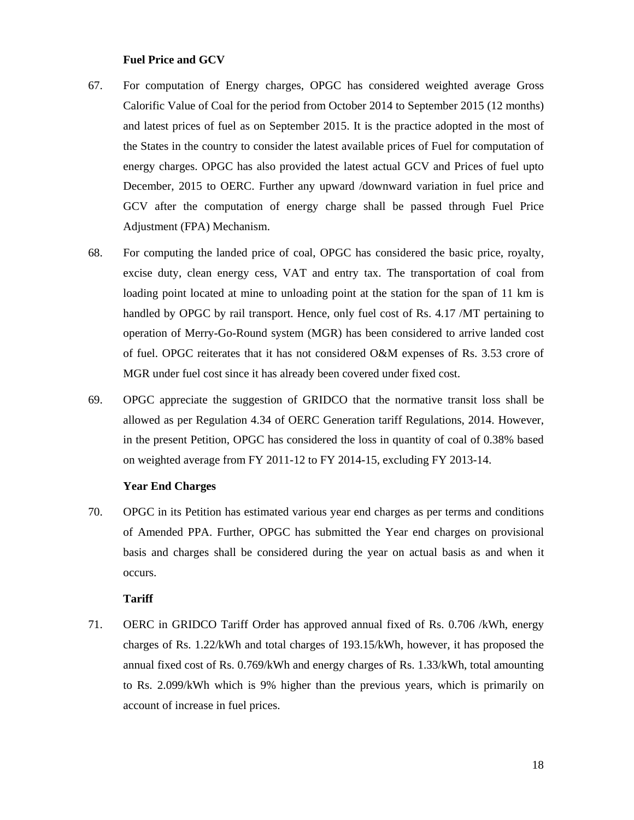#### **Fuel Price and GCV**

- 67. For computation of Energy charges, OPGC has considered weighted average Gross Calorific Value of Coal for the period from October 2014 to September 2015 (12 months) and latest prices of fuel as on September 2015. It is the practice adopted in the most of the States in the country to consider the latest available prices of Fuel for computation of energy charges. OPGC has also provided the latest actual GCV and Prices of fuel upto December, 2015 to OERC. Further any upward /downward variation in fuel price and GCV after the computation of energy charge shall be passed through Fuel Price Adjustment (FPA) Mechanism.
- 68. For computing the landed price of coal, OPGC has considered the basic price, royalty, excise duty, clean energy cess, VAT and entry tax. The transportation of coal from loading point located at mine to unloading point at the station for the span of 11 km is handled by OPGC by rail transport. Hence, only fuel cost of Rs. 4.17 /MT pertaining to operation of Merry-Go-Round system (MGR) has been considered to arrive landed cost of fuel. OPGC reiterates that it has not considered O&M expenses of Rs. 3.53 crore of MGR under fuel cost since it has already been covered under fixed cost.
- 69. OPGC appreciate the suggestion of GRIDCO that the normative transit loss shall be allowed as per Regulation 4.34 of OERC Generation tariff Regulations, 2014. However, in the present Petition, OPGC has considered the loss in quantity of coal of 0.38% based on weighted average from FY 2011-12 to FY 2014-15, excluding FY 2013-14.

#### **Year End Charges**

70. OPGC in its Petition has estimated various year end charges as per terms and conditions of Amended PPA. Further, OPGC has submitted the Year end charges on provisional basis and charges shall be considered during the year on actual basis as and when it occurs.

#### **Tariff**

71. OERC in GRIDCO Tariff Order has approved annual fixed of Rs. 0.706 /kWh, energy charges of Rs. 1.22/kWh and total charges of 193.15/kWh, however, it has proposed the annual fixed cost of Rs. 0.769/kWh and energy charges of Rs. 1.33/kWh, total amounting to Rs. 2.099/kWh which is 9% higher than the previous years, which is primarily on account of increase in fuel prices.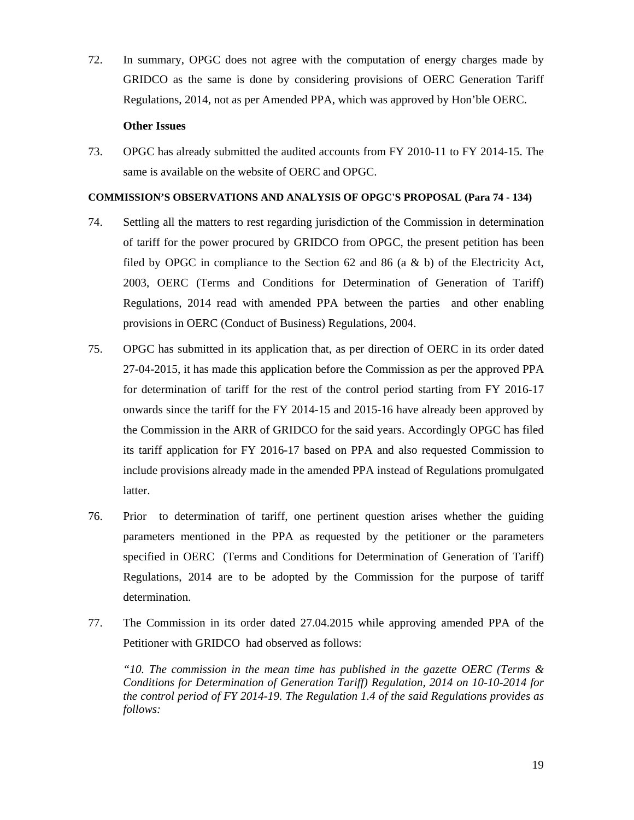72. In summary, OPGC does not agree with the computation of energy charges made by GRIDCO as the same is done by considering provisions of OERC Generation Tariff Regulations, 2014, not as per Amended PPA, which was approved by Hon'ble OERC.

#### **Other Issues**

73. OPGC has already submitted the audited accounts from FY 2010-11 to FY 2014-15. The same is available on the website of OERC and OPGC.

#### **COMMISSION'S OBSERVATIONS AND ANALYSIS OF OPGC'S PROPOSAL (Para 74 - 134)**

- 74. Settling all the matters to rest regarding jurisdiction of the Commission in determination of tariff for the power procured by GRIDCO from OPGC, the present petition has been filed by OPGC in compliance to the Section 62 and 86 (a  $\&$  b) of the Electricity Act, 2003, OERC (Terms and Conditions for Determination of Generation of Tariff) Regulations, 2014 read with amended PPA between the parties and other enabling provisions in OERC (Conduct of Business) Regulations, 2004.
- 75. OPGC has submitted in its application that, as per direction of OERC in its order dated 27-04-2015, it has made this application before the Commission as per the approved PPA for determination of tariff for the rest of the control period starting from FY 2016-17 onwards since the tariff for the FY 2014-15 and 2015-16 have already been approved by the Commission in the ARR of GRIDCO for the said years. Accordingly OPGC has filed its tariff application for FY 2016-17 based on PPA and also requested Commission to include provisions already made in the amended PPA instead of Regulations promulgated latter.
- 76. Prior to determination of tariff, one pertinent question arises whether the guiding parameters mentioned in the PPA as requested by the petitioner or the parameters specified in OERC (Terms and Conditions for Determination of Generation of Tariff) Regulations, 2014 are to be adopted by the Commission for the purpose of tariff determination.
- 77. The Commission in its order dated 27.04.2015 while approving amended PPA of the Petitioner with GRIDCO had observed as follows:

*"10. The commission in the mean time has published in the gazette OERC (Terms & Conditions for Determination of Generation Tariff) Regulation, 2014 on 10-10-2014 for the control period of FY 2014-19. The Regulation 1.4 of the said Regulations provides as follows:*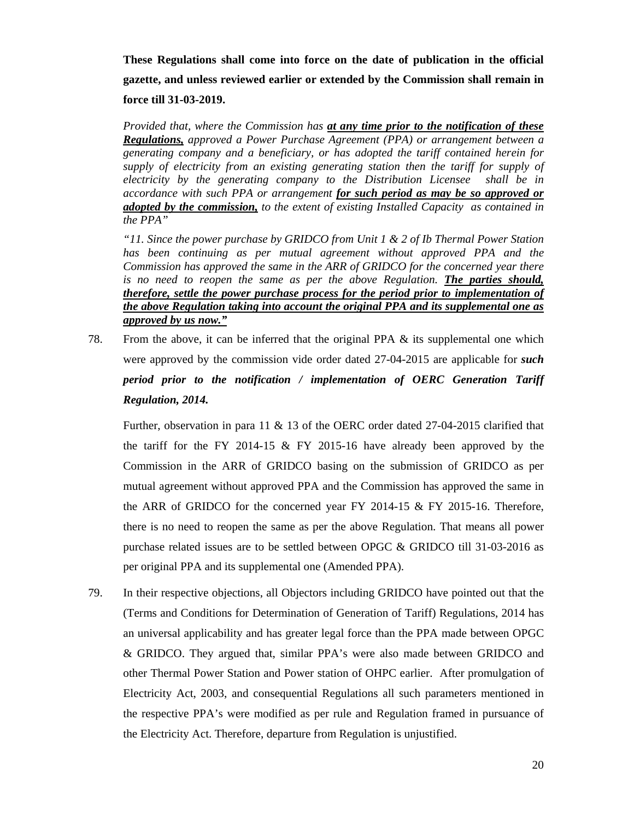**These Regulations shall come into force on the date of publication in the official gazette, and unless reviewed earlier or extended by the Commission shall remain in force till 31-03-2019.** 

*Provided that, where the Commission has at any time prior to the notification of these Regulations, approved a Power Purchase Agreement (PPA) or arrangement between a generating company and a beneficiary, or has adopted the tariff contained herein for supply of electricity from an existing generating station then the tariff for supply of electricity by the generating company to the Distribution Licensee shall be in accordance with such PPA or arrangement for such period as may be so approved or adopted by the commission, to the extent of existing Installed Capacity as contained in the PPA"* 

*"11. Since the power purchase by GRIDCO from Unit 1 & 2 of Ib Thermal Power Station*  has been continuing as per mutual agreement without approved PPA and the *Commission has approved the same in the ARR of GRIDCO for the concerned year there is no need to reopen the same as per the above Regulation. The parties should, therefore, settle the power purchase process for the period prior to implementation of the above Regulation taking into account the original PPA and its supplemental one as approved by us now."*

78. From the above, it can be inferred that the original PPA & its supplemental one which were approved by the commission vide order dated 27-04-2015 are applicable for *such period prior to the notification / implementation of OERC Generation Tariff Regulation, 2014.*

Further, observation in para 11 & 13 of the OERC order dated 27-04-2015 clarified that the tariff for the FY 2014-15  $\&$  FY 2015-16 have already been approved by the Commission in the ARR of GRIDCO basing on the submission of GRIDCO as per mutual agreement without approved PPA and the Commission has approved the same in the ARR of GRIDCO for the concerned year FY 2014-15 & FY 2015-16. Therefore, there is no need to reopen the same as per the above Regulation. That means all power purchase related issues are to be settled between OPGC & GRIDCO till 31-03-2016 as per original PPA and its supplemental one (Amended PPA).

79. In their respective objections, all Objectors including GRIDCO have pointed out that the (Terms and Conditions for Determination of Generation of Tariff) Regulations, 2014 has an universal applicability and has greater legal force than the PPA made between OPGC & GRIDCO. They argued that, similar PPA's were also made between GRIDCO and other Thermal Power Station and Power station of OHPC earlier. After promulgation of Electricity Act, 2003, and consequential Regulations all such parameters mentioned in the respective PPA's were modified as per rule and Regulation framed in pursuance of the Electricity Act. Therefore, departure from Regulation is unjustified.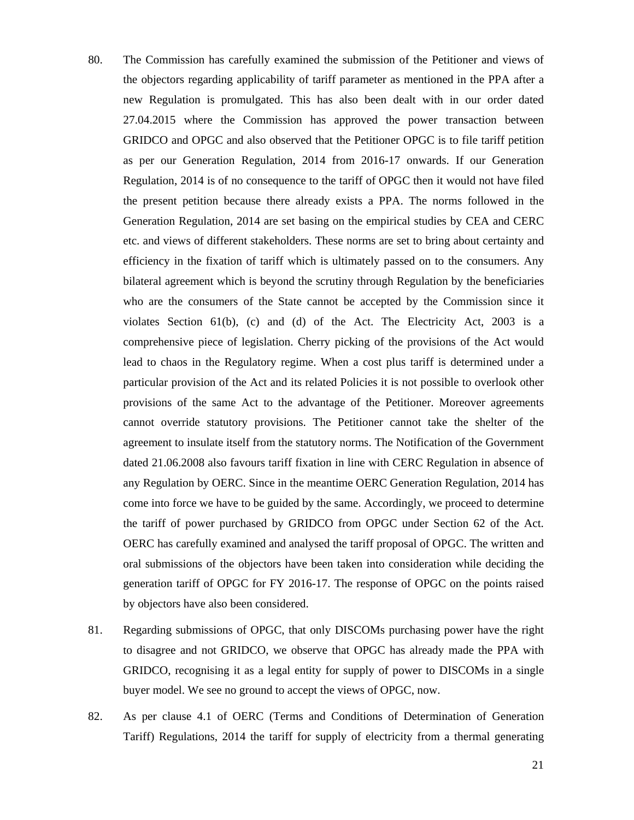- 80. The Commission has carefully examined the submission of the Petitioner and views of the objectors regarding applicability of tariff parameter as mentioned in the PPA after a new Regulation is promulgated. This has also been dealt with in our order dated 27.04.2015 where the Commission has approved the power transaction between GRIDCO and OPGC and also observed that the Petitioner OPGC is to file tariff petition as per our Generation Regulation, 2014 from 2016-17 onwards. If our Generation Regulation, 2014 is of no consequence to the tariff of OPGC then it would not have filed the present petition because there already exists a PPA. The norms followed in the Generation Regulation, 2014 are set basing on the empirical studies by CEA and CERC etc. and views of different stakeholders. These norms are set to bring about certainty and efficiency in the fixation of tariff which is ultimately passed on to the consumers. Any bilateral agreement which is beyond the scrutiny through Regulation by the beneficiaries who are the consumers of the State cannot be accepted by the Commission since it violates Section  $61(b)$ , (c) and (d) of the Act. The Electricity Act, 2003 is a comprehensive piece of legislation. Cherry picking of the provisions of the Act would lead to chaos in the Regulatory regime. When a cost plus tariff is determined under a particular provision of the Act and its related Policies it is not possible to overlook other provisions of the same Act to the advantage of the Petitioner. Moreover agreements cannot override statutory provisions. The Petitioner cannot take the shelter of the agreement to insulate itself from the statutory norms. The Notification of the Government dated 21.06.2008 also favours tariff fixation in line with CERC Regulation in absence of any Regulation by OERC. Since in the meantime OERC Generation Regulation, 2014 has come into force we have to be guided by the same. Accordingly, we proceed to determine the tariff of power purchased by GRIDCO from OPGC under Section 62 of the Act. OERC has carefully examined and analysed the tariff proposal of OPGC. The written and oral submissions of the objectors have been taken into consideration while deciding the generation tariff of OPGC for FY 2016-17. The response of OPGC on the points raised by objectors have also been considered.
- 81. Regarding submissions of OPGC, that only DISCOMs purchasing power have the right to disagree and not GRIDCO, we observe that OPGC has already made the PPA with GRIDCO, recognising it as a legal entity for supply of power to DISCOMs in a single buyer model. We see no ground to accept the views of OPGC, now.
- 82. As per clause 4.1 of OERC (Terms and Conditions of Determination of Generation Tariff) Regulations, 2014 the tariff for supply of electricity from a thermal generating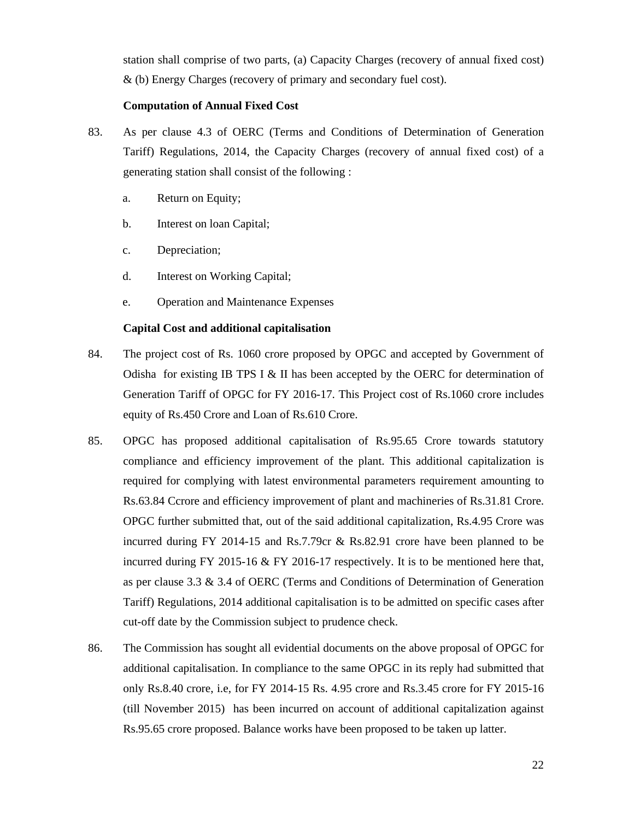station shall comprise of two parts, (a) Capacity Charges (recovery of annual fixed cost) & (b) Energy Charges (recovery of primary and secondary fuel cost).

#### **Computation of Annual Fixed Cost**

- 83. As per clause 4.3 of OERC (Terms and Conditions of Determination of Generation Tariff) Regulations, 2014, the Capacity Charges (recovery of annual fixed cost) of a generating station shall consist of the following :
	- a. Return on Equity;
	- b. Interest on loan Capital;
	- c. Depreciation;
	- d. Interest on Working Capital;
	- e. Operation and Maintenance Expenses

## **Capital Cost and additional capitalisation**

- 84. The project cost of Rs. 1060 crore proposed by OPGC and accepted by Government of Odisha for existing IB TPS I  $&$  II has been accepted by the OERC for determination of Generation Tariff of OPGC for FY 2016-17. This Project cost of Rs.1060 crore includes equity of Rs.450 Crore and Loan of Rs.610 Crore.
- 85. OPGC has proposed additional capitalisation of Rs.95.65 Crore towards statutory compliance and efficiency improvement of the plant. This additional capitalization is required for complying with latest environmental parameters requirement amounting to Rs.63.84 Ccrore and efficiency improvement of plant and machineries of Rs.31.81 Crore. OPGC further submitted that, out of the said additional capitalization, Rs.4.95 Crore was incurred during FY 2014-15 and Rs.7.79cr & Rs.82.91 crore have been planned to be incurred during FY 2015-16 & FY 2016-17 respectively. It is to be mentioned here that, as per clause 3.3 & 3.4 of OERC (Terms and Conditions of Determination of Generation Tariff) Regulations, 2014 additional capitalisation is to be admitted on specific cases after cut-off date by the Commission subject to prudence check.
- 86. The Commission has sought all evidential documents on the above proposal of OPGC for additional capitalisation. In compliance to the same OPGC in its reply had submitted that only Rs.8.40 crore, i.e, for FY 2014-15 Rs. 4.95 crore and Rs.3.45 crore for FY 2015-16 (till November 2015) has been incurred on account of additional capitalization against Rs.95.65 crore proposed. Balance works have been proposed to be taken up latter.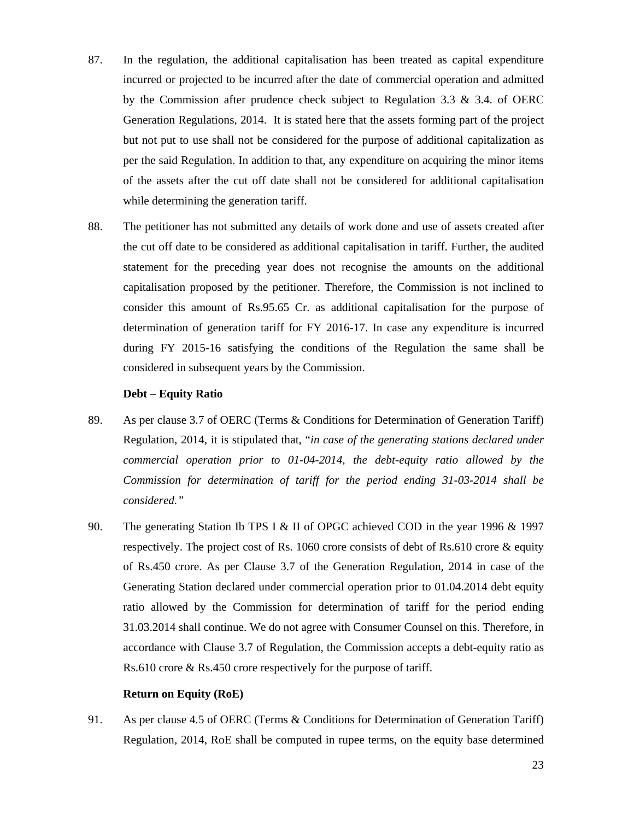- 87. In the regulation, the additional capitalisation has been treated as capital expenditure incurred or projected to be incurred after the date of commercial operation and admitted by the Commission after prudence check subject to Regulation 3.3 & 3.4. of OERC Generation Regulations, 2014. It is stated here that the assets forming part of the project but not put to use shall not be considered for the purpose of additional capitalization as per the said Regulation. In addition to that, any expenditure on acquiring the minor items of the assets after the cut off date shall not be considered for additional capitalisation while determining the generation tariff.
- 88. The petitioner has not submitted any details of work done and use of assets created after the cut off date to be considered as additional capitalisation in tariff. Further, the audited statement for the preceding year does not recognise the amounts on the additional capitalisation proposed by the petitioner. Therefore, the Commission is not inclined to consider this amount of Rs.95.65 Cr. as additional capitalisation for the purpose of determination of generation tariff for FY 2016-17. In case any expenditure is incurred during FY 2015-16 satisfying the conditions of the Regulation the same shall be considered in subsequent years by the Commission.

#### **Debt – Equity Ratio**

- 89. As per clause 3.7 of OERC (Terms & Conditions for Determination of Generation Tariff) Regulation, 2014, it is stipulated that, "*in case of the generating stations declared under commercial operation prior to 01-04-2014, the debt-equity ratio allowed by the Commission for determination of tariff for the period ending 31-03-2014 shall be considered."*
- 90. The generating Station Ib TPS I & II of OPGC achieved COD in the year 1996 & 1997 respectively. The project cost of Rs. 1060 crore consists of debt of Rs.610 crore & equity of Rs.450 crore. As per Clause 3.7 of the Generation Regulation, 2014 in case of the Generating Station declared under commercial operation prior to 01.04.2014 debt equity ratio allowed by the Commission for determination of tariff for the period ending 31.03.2014 shall continue. We do not agree with Consumer Counsel on this. Therefore, in accordance with Clause 3.7 of Regulation, the Commission accepts a debt-equity ratio as Rs.610 crore & Rs.450 crore respectively for the purpose of tariff.

#### **Return on Equity (RoE)**

91. As per clause 4.5 of OERC (Terms & Conditions for Determination of Generation Tariff) Regulation, 2014, RoE shall be computed in rupee terms, on the equity base determined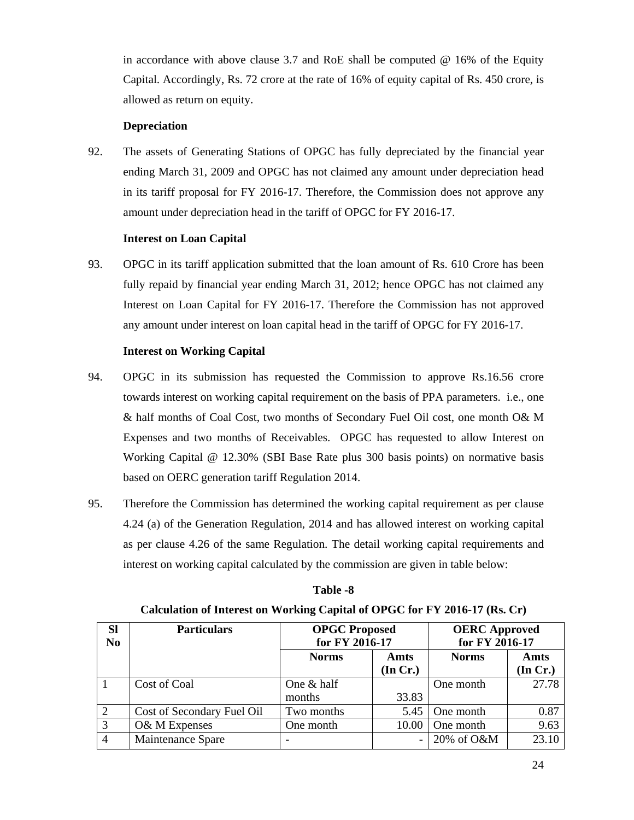in accordance with above clause 3.7 and RoE shall be computed @ 16% of the Equity Capital. Accordingly, Rs. 72 crore at the rate of 16% of equity capital of Rs. 450 crore, is allowed as return on equity.

## **Depreciation**

92. The assets of Generating Stations of OPGC has fully depreciated by the financial year ending March 31, 2009 and OPGC has not claimed any amount under depreciation head in its tariff proposal for FY 2016-17. Therefore, the Commission does not approve any amount under depreciation head in the tariff of OPGC for FY 2016-17.

## **Interest on Loan Capital**

93. OPGC in its tariff application submitted that the loan amount of Rs. 610 Crore has been fully repaid by financial year ending March 31, 2012; hence OPGC has not claimed any Interest on Loan Capital for FY 2016-17. Therefore the Commission has not approved any amount under interest on loan capital head in the tariff of OPGC for FY 2016-17.

## **Interest on Working Capital**

- 94. OPGC in its submission has requested the Commission to approve Rs.16.56 crore towards interest on working capital requirement on the basis of PPA parameters. i.e., one & half months of Coal Cost, two months of Secondary Fuel Oil cost, one month O& M Expenses and two months of Receivables. OPGC has requested to allow Interest on Working Capital @ 12.30% (SBI Base Rate plus 300 basis points) on normative basis based on OERC generation tariff Regulation 2014.
- 95. Therefore the Commission has determined the working capital requirement as per clause 4.24 (a) of the Generation Regulation, 2014 and has allowed interest on working capital as per clause 4.26 of the same Regulation. The detail working capital requirements and interest on working capital calculated by the commission are given in table below:

| <b>Sl</b><br>N <sub>0</sub> | <b>Particulars</b>         | <b>OPGC Proposed</b><br>for FY 2016-17 |          | <b>OERC</b> Approved<br>for FY 2016-17 |          |
|-----------------------------|----------------------------|----------------------------------------|----------|----------------------------------------|----------|
|                             |                            | <b>Norms</b>                           | Amts     | <b>Norms</b>                           | Amts     |
|                             |                            |                                        | (In Cr.) |                                        | (In Cr.) |
|                             | Cost of Coal               | One $&$ half                           |          | One month                              | 27.78    |
|                             |                            | months                                 | 33.83    |                                        |          |
| $\overline{2}$              | Cost of Secondary Fuel Oil | Two months                             | 5.45     | One month                              | 0.87     |
| 3                           | O& M Expenses              | One month                              | 10.00    | One month                              | 9.63     |
| $\overline{4}$              | Maintenance Spare          | $\overline{\phantom{a}}$               |          | 20% of O&M                             | 23.10    |

## **Table -8**

| Calculation of Interest on Working Capital of OPGC for FY 2016-17 (Rs. Cr) |  |  |
|----------------------------------------------------------------------------|--|--|
|----------------------------------------------------------------------------|--|--|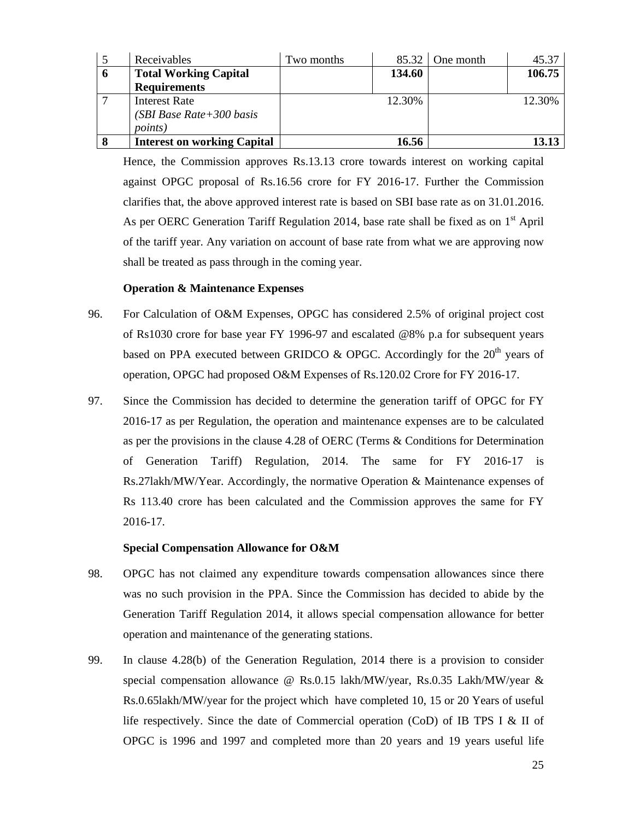|   | Receivables                                                    | Two months |        | $85.32$ One month | 45.37  |
|---|----------------------------------------------------------------|------------|--------|-------------------|--------|
| 6 | <b>Total Working Capital</b>                                   |            | 134.60 |                   | 106.75 |
|   | <b>Requirements</b>                                            |            |        |                   |        |
|   | Interest Rate<br>(SBI Base Rate + 300 basis<br><i>points</i> ) |            | 12.30% |                   | 12.30% |
|   | <b>Interest on working Capital</b>                             |            | 16.56  |                   |        |

Hence, the Commission approves Rs.13.13 crore towards interest on working capital against OPGC proposal of Rs.16.56 crore for FY 2016-17. Further the Commission clarifies that, the above approved interest rate is based on SBI base rate as on 31.01.2016. As per OERC Generation Tariff Regulation 2014, base rate shall be fixed as on 1<sup>st</sup> April of the tariff year. Any variation on account of base rate from what we are approving now shall be treated as pass through in the coming year.

#### **Operation & Maintenance Expenses**

- 96. For Calculation of O&M Expenses, OPGC has considered 2.5% of original project cost of Rs1030 crore for base year FY 1996-97 and escalated @8% p.a for subsequent years based on PPA executed between GRIDCO & OPGC. Accordingly for the  $20<sup>th</sup>$  years of operation, OPGC had proposed O&M Expenses of Rs.120.02 Crore for FY 2016-17.
- 97. Since the Commission has decided to determine the generation tariff of OPGC for FY 2016-17 as per Regulation, the operation and maintenance expenses are to be calculated as per the provisions in the clause 4.28 of OERC (Terms & Conditions for Determination of Generation Tariff) Regulation, 2014. The same for FY 2016-17 is Rs.27lakh/MW/Year. Accordingly, the normative Operation & Maintenance expenses of Rs 113.40 crore has been calculated and the Commission approves the same for FY 2016-17.

#### **Special Compensation Allowance for O&M**

- 98. OPGC has not claimed any expenditure towards compensation allowances since there was no such provision in the PPA. Since the Commission has decided to abide by the Generation Tariff Regulation 2014, it allows special compensation allowance for better operation and maintenance of the generating stations.
- 99. In clause 4.28(b) of the Generation Regulation, 2014 there is a provision to consider special compensation allowance @ Rs.0.15 lakh/MW/year, Rs.0.35 Lakh/MW/year & Rs.0.65lakh/MW/year for the project which have completed 10, 15 or 20 Years of useful life respectively. Since the date of Commercial operation (CoD) of IB TPS I & II of OPGC is 1996 and 1997 and completed more than 20 years and 19 years useful life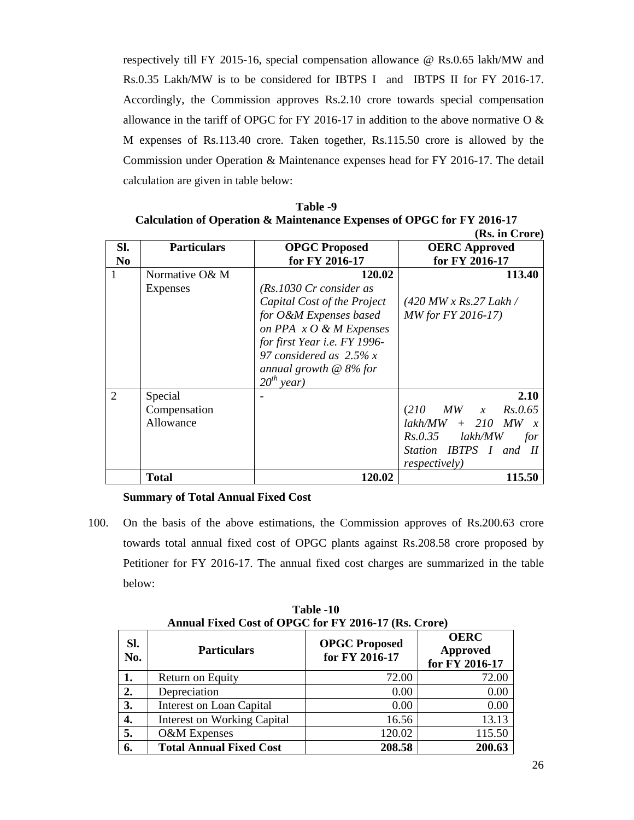respectively till FY 2015-16, special compensation allowance @ Rs.0.65 lakh/MW and Rs.0.35 Lakh/MW is to be considered for IBTPS I and IBTPS II for FY 2016-17. Accordingly, the Commission approves Rs.2.10 crore towards special compensation allowance in the tariff of OPGC for FY 2016-17 in addition to the above normative O & M expenses of Rs.113.40 crore. Taken together, Rs.115.50 crore is allowed by the Commission under Operation & Maintenance expenses head for FY 2016-17. The detail calculation are given in table below:

| Table -9                                                               |
|------------------------------------------------------------------------|
| Calculation of Operation & Maintenance Expenses of OPGC for FY 2016-17 |
| $(Rs$ in $C$ rore)                                                     |

|                |                    |                               | (IW) III VIVIV                                    |
|----------------|--------------------|-------------------------------|---------------------------------------------------|
| SI.            | <b>Particulars</b> | <b>OPGC Proposed</b>          | <b>OERC</b> Approved                              |
| N <sub>0</sub> |                    | for FY 2016-17                | for FY 2016-17                                    |
|                | Normative O& M     | 120.02                        | 113.40                                            |
|                | Expenses           | (Rs.1030 Cr consider as       |                                                   |
|                |                    | Capital Cost of the Project   | $(420 MW \times Rs.27 Lakh/$                      |
|                |                    | for O&M Expenses based        | <i>MW for FY 2016-17</i> )                        |
|                |                    | on PPA $x O \& M$ Expenses    |                                                   |
|                |                    | for first Year i.e. FY 1996-  |                                                   |
|                |                    | 97 considered as $2.5\%$ x    |                                                   |
|                |                    | annual growth $\omega$ 8% for |                                                   |
|                |                    | $20^{th}$ year)               |                                                   |
| 2              | Special            |                               | 2.10                                              |
|                | Compensation       |                               | (210<br>$MW \quad x \quad Rs.0.65$                |
|                | Allowance          |                               | $+$ 210<br>lakh/MW<br>MW<br>$\boldsymbol{x}$      |
|                |                    |                               | $Rs. 0.35$ $lakh/MW$<br>for                       |
|                |                    |                               | Station IBTPS I and<br>$\boldsymbol{\mathit{II}}$ |
|                |                    |                               | <i>respectively</i> )                             |
|                | <b>Total</b>       | 120.02                        | 115.50                                            |

## **Summary of Total Annual Fixed Cost**

100. On the basis of the above estimations, the Commission approves of Rs.200.63 crore towards total annual fixed cost of OPGC plants against Rs.208.58 crore proposed by Petitioner for FY 2016-17. The annual fixed cost charges are summarized in the table below:

| SI.<br>No. | <b>Particulars</b>                 | <b>OPGC Proposed</b><br>for FY 2016-17 | <b>OERC</b><br><b>Approved</b><br>for FY 2016-17 |
|------------|------------------------------------|----------------------------------------|--------------------------------------------------|
| 1.         | Return on Equity                   | 72.00                                  | 72.00                                            |
| 2.         | Depreciation                       | 0.00                                   | 0.00                                             |
| 3.         | <b>Interest on Loan Capital</b>    | 0.00                                   | 0.00                                             |
| 4.         | <b>Interest on Working Capital</b> | 16.56                                  | 13.13                                            |
| 5.         | O&M Expenses                       | 120.02                                 | 115.50                                           |
| 6.         | <b>Total Annual Fixed Cost</b>     | 208.58                                 | 200.63                                           |

**Table -10 Annual Fixed Cost of OPGC for FY 2016-17 (Rs. Crore)**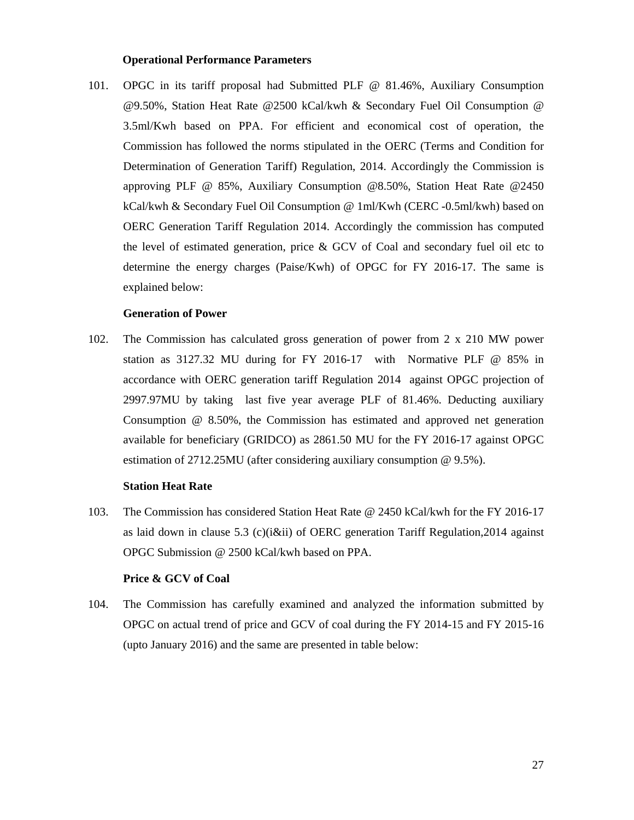#### **Operational Performance Parameters**

101. OPGC in its tariff proposal had Submitted PLF @ 81.46%, Auxiliary Consumption @9.50%, Station Heat Rate @2500 kCal/kwh & Secondary Fuel Oil Consumption @ 3.5ml/Kwh based on PPA. For efficient and economical cost of operation, the Commission has followed the norms stipulated in the OERC (Terms and Condition for Determination of Generation Tariff) Regulation, 2014. Accordingly the Commission is approving PLF @ 85%, Auxiliary Consumption @8.50%, Station Heat Rate @2450 kCal/kwh & Secondary Fuel Oil Consumption @ 1ml/Kwh (CERC -0.5ml/kwh) based on OERC Generation Tariff Regulation 2014. Accordingly the commission has computed the level of estimated generation, price & GCV of Coal and secondary fuel oil etc to determine the energy charges (Paise/Kwh) of OPGC for FY 2016-17. The same is explained below:

#### **Generation of Power**

102. The Commission has calculated gross generation of power from 2 x 210 MW power station as 3127.32 MU during for FY 2016-17 with Normative PLF @ 85% in accordance with OERC generation tariff Regulation 2014 against OPGC projection of 2997.97MU by taking last five year average PLF of 81.46%. Deducting auxiliary Consumption @ 8.50%, the Commission has estimated and approved net generation available for beneficiary (GRIDCO) as 2861.50 MU for the FY 2016-17 against OPGC estimation of 2712.25MU (after considering auxiliary consumption @ 9.5%).

#### **Station Heat Rate**

103. The Commission has considered Station Heat Rate @ 2450 kCal/kwh for the FY 2016-17 as laid down in clause 5.3 (c)( $i\ⅈ$ ) of OERC generation Tariff Regulation, 2014 against OPGC Submission @ 2500 kCal/kwh based on PPA.

#### **Price & GCV of Coal**

104. The Commission has carefully examined and analyzed the information submitted by OPGC on actual trend of price and GCV of coal during the FY 2014-15 and FY 2015-16 (upto January 2016) and the same are presented in table below: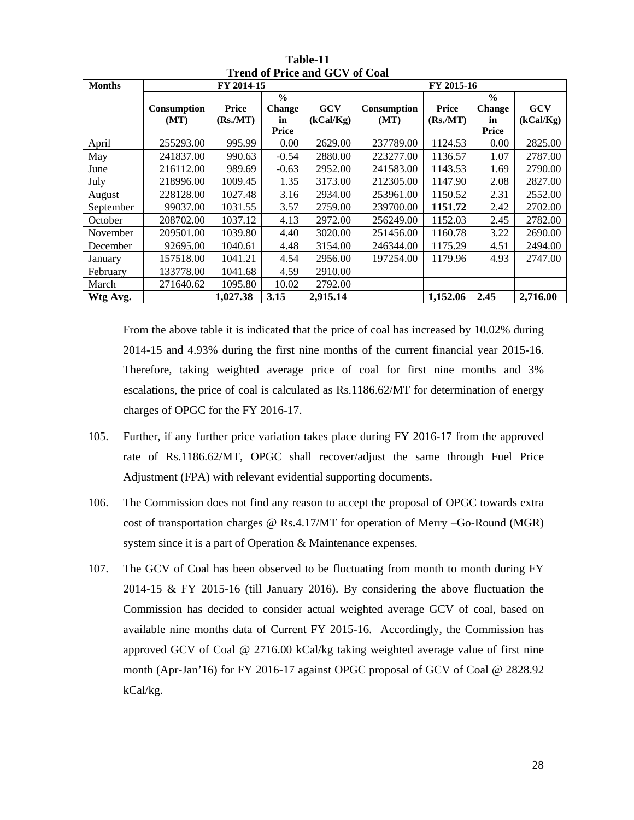| <b>Months</b> | FY 2014-15         |          |                                | FY 2015-16 |             |          |                         |            |
|---------------|--------------------|----------|--------------------------------|------------|-------------|----------|-------------------------|------------|
|               | <b>Consumption</b> | Price    | $\frac{0}{0}$<br><b>Change</b> | <b>GCV</b> | Consumption | Price    | $\frac{0}{0}$<br>Change | <b>GCV</b> |
|               | (MT)               | (Rs/MT)  | in<br>Price                    | (kCal/Kg)  | (MT)        | (Rs/MT)  | in<br>Price             | (kCal/Kg)  |
| April         | 255293.00          | 995.99   | 0.00                           | 2629.00    | 237789.00   | 1124.53  | 0.00                    | 2825.00    |
| May           | 241837.00          | 990.63   | $-0.54$                        | 2880.00    | 223277.00   | 1136.57  | 1.07                    | 2787.00    |
| June          | 216112.00          | 989.69   | $-0.63$                        | 2952.00    | 241583.00   | 1143.53  | 1.69                    | 2790.00    |
| July          | 218996.00          | 1009.45  | 1.35                           | 3173.00    | 212305.00   | 1147.90  | 2.08                    | 2827.00    |
| August        | 228128.00          | 1027.48  | 3.16                           | 2934.00    | 253961.00   | 1150.52  | 2.31                    | 2552.00    |
| September     | 99037.00           | 1031.55  | 3.57                           | 2759.00    | 239700.00   | 1151.72  | 2.42                    | 2702.00    |
| October       | 208702.00          | 1037.12  | 4.13                           | 2972.00    | 256249.00   | 1152.03  | 2.45                    | 2782.00    |
| November      | 209501.00          | 1039.80  | 4.40                           | 3020.00    | 251456.00   | 1160.78  | 3.22                    | 2690.00    |
| December      | 92695.00           | 1040.61  | 4.48                           | 3154.00    | 246344.00   | 1175.29  | 4.51                    | 2494.00    |
| January       | 157518.00          | 1041.21  | 4.54                           | 2956.00    | 197254.00   | 1179.96  | 4.93                    | 2747.00    |
| February      | 133778.00          | 1041.68  | 4.59                           | 2910.00    |             |          |                         |            |
| March         | 271640.62          | 1095.80  | 10.02                          | 2792.00    |             |          |                         |            |
| Wtg Avg.      |                    | 1,027.38 | 3.15                           | 2,915.14   |             | 1,152.06 | 2.45                    | 2,716.00   |

**Table-11 Trend of Price and GCV of Coal** 

From the above table it is indicated that the price of coal has increased by 10.02% during 2014-15 and 4.93% during the first nine months of the current financial year 2015-16. Therefore, taking weighted average price of coal for first nine months and 3% escalations, the price of coal is calculated as Rs.1186.62/MT for determination of energy charges of OPGC for the FY 2016-17.

- 105. Further, if any further price variation takes place during FY 2016-17 from the approved rate of Rs.1186.62/MT, OPGC shall recover/adjust the same through Fuel Price Adjustment (FPA) with relevant evidential supporting documents.
- 106. The Commission does not find any reason to accept the proposal of OPGC towards extra cost of transportation charges @ Rs.4.17/MT for operation of Merry –Go-Round (MGR) system since it is a part of Operation & Maintenance expenses.
- 107. The GCV of Coal has been observed to be fluctuating from month to month during FY 2014-15 & FY 2015-16 (till January 2016). By considering the above fluctuation the Commission has decided to consider actual weighted average GCV of coal, based on available nine months data of Current FY 2015-16. Accordingly, the Commission has approved GCV of Coal @ 2716.00 kCal/kg taking weighted average value of first nine month (Apr-Jan'16) for FY 2016-17 against OPGC proposal of GCV of Coal @ 2828.92 kCal/kg.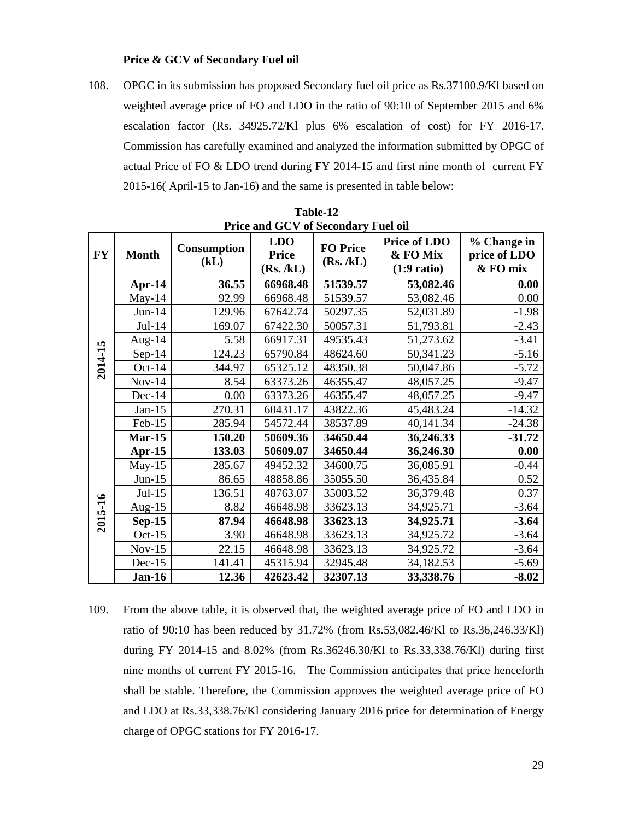#### **Price & GCV of Secondary Fuel oil**

108. OPGC in its submission has proposed Secondary fuel oil price as Rs.37100.9/Kl based on weighted average price of FO and LDO in the ratio of 90:10 of September 2015 and 6% escalation factor (Rs. 34925.72/Kl plus 6% escalation of cost) for FY 2016-17. Commission has carefully examined and analyzed the information submitted by OPGC of actual Price of FO & LDO trend during FY 2014-15 and first nine month of current FY 2015-16( April-15 to Jan-16) and the same is presented in table below:

|           | Price and GUV of Secondary Fuel of |                            |                                          |                               |                                                          |                                         |
|-----------|------------------------------------|----------------------------|------------------------------------------|-------------------------------|----------------------------------------------------------|-----------------------------------------|
| <b>FY</b> | <b>Month</b>                       | <b>Consumption</b><br>(kL) | <b>LDO</b><br><b>Price</b><br>(Rs. / kL) | <b>FO Price</b><br>(Rs. / kL) | <b>Price of LDO</b><br>& FO Mix<br>$(1:9 \text{ ratio})$ | % Change in<br>price of LDO<br>& FO mix |
|           | Apr-14                             | 36.55                      | 66968.48                                 | 51539.57                      | 53,082.46                                                | 0.00                                    |
|           | $May-14$                           | 92.99                      | 66968.48                                 | 51539.57                      | 53,082.46                                                | 0.00                                    |
|           | $Jun-14$                           | 129.96                     | 67642.74                                 | 50297.35                      | 52,031.89                                                | $-1.98$                                 |
|           | $Jul-14$                           | 169.07                     | 67422.30                                 | 50057.31                      | 51,793.81                                                | $-2.43$                                 |
|           | Aug-14                             | 5.58                       | 66917.31                                 | 49535.43                      | 51,273.62                                                | $-3.41$                                 |
|           | $Sep-14$                           | 124.23                     | 65790.84                                 | 48624.60                      | 50,341.23                                                | $-5.16$                                 |
| 2014-15   | $Oct-14$                           | 344.97                     | 65325.12                                 | 48350.38                      | 50,047.86                                                | $-5.72$                                 |
|           | $Nov-14$                           | 8.54                       | 63373.26                                 | 46355.47                      | 48,057.25                                                | $-9.47$                                 |
|           | $Dec-14$                           | 0.00                       | 63373.26                                 | 46355.47                      | 48,057.25                                                | $-9.47$                                 |
|           | $Jan-15$                           | 270.31                     | 60431.17                                 | 43822.36                      | 45,483.24                                                | $-14.32$                                |
|           | Feb-15                             | 285.94                     | 54572.44                                 | 38537.89                      | 40,141.34                                                | $-24.38$                                |
|           | $Mar-15$                           | 150.20                     | 50609.36                                 | 34650.44                      | 36,246.33                                                | $-31.72$                                |
|           | Apr- $15$                          | 133.03                     | 50609.07                                 | 34650.44                      | 36,246.30                                                | 0.00                                    |
|           | $May-15$                           | 285.67                     | 49452.32                                 | 34600.75                      | 36,085.91                                                | $-0.44$                                 |
|           | $Jun-15$                           | 86.65                      | 48858.86                                 | 35055.50                      | 36,435.84                                                | 0.52                                    |
|           | $Jul-15$                           | 136.51                     | 48763.07                                 | 35003.52                      | 36,379.48                                                | 0.37                                    |
| 2015-16   | Aug-15                             | 8.82                       | 46648.98                                 | 33623.13                      | 34,925.71                                                | $-3.64$                                 |
|           | $Sep-15$                           | 87.94                      | 46648.98                                 | 33623.13                      | 34,925.71                                                | $-3.64$                                 |
|           | Oct- $15$                          | 3.90                       | 46648.98                                 | 33623.13                      | 34,925.72                                                | $-3.64$                                 |
|           | $Nov-15$                           | 22.15                      | 46648.98                                 | 33623.13                      | 34,925.72                                                | $-3.64$                                 |
|           | $Dec-15$                           | 141.41                     | 45315.94                                 | 32945.48                      | 34,182.53                                                | $-5.69$                                 |
|           | <b>Jan-16</b>                      | 12.36                      | 42623.42                                 | 32307.13                      | 33,338.76                                                | $-8.02$                                 |

**Table-12 Price and GCV of Secondary Fuel oil**

109. From the above table, it is observed that, the weighted average price of FO and LDO in ratio of 90:10 has been reduced by 31.72% (from Rs.53,082.46/Kl to Rs.36,246.33/Kl) during FY 2014-15 and 8.02% (from Rs.36246.30/Kl to Rs.33,338.76/Kl) during first nine months of current FY 2015-16. The Commission anticipates that price henceforth shall be stable. Therefore, the Commission approves the weighted average price of FO and LDO at Rs.33,338.76/Kl considering January 2016 price for determination of Energy charge of OPGC stations for FY 2016-17.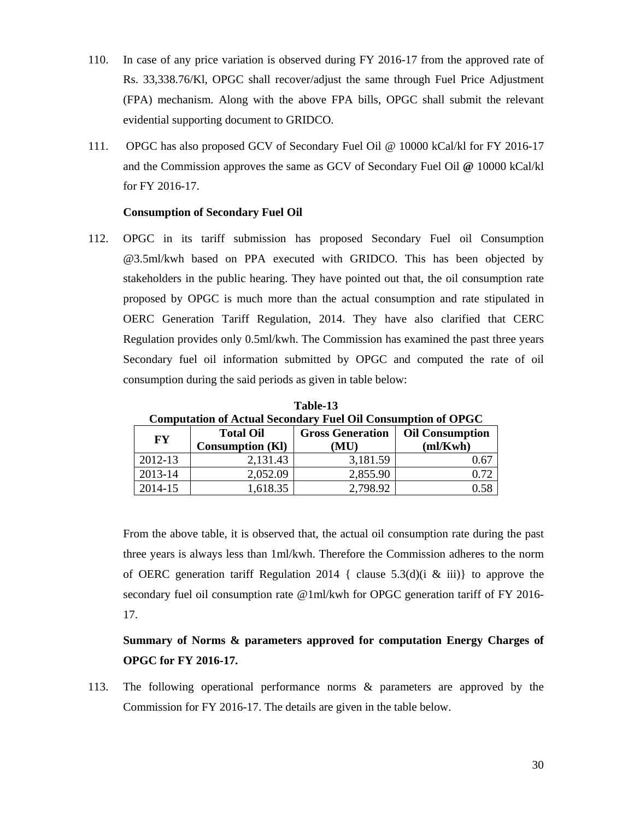- 110. In case of any price variation is observed during FY 2016-17 from the approved rate of Rs. 33,338.76/Kl, OPGC shall recover/adjust the same through Fuel Price Adjustment (FPA) mechanism. Along with the above FPA bills, OPGC shall submit the relevant evidential supporting document to GRIDCO.
- 111. OPGC has also proposed GCV of Secondary Fuel Oil @ 10000 kCal/kl for FY 2016-17 and the Commission approves the same as GCV of Secondary Fuel Oil **@** 10000 kCal/kl for FY 2016-17.

#### **Consumption of Secondary Fuel Oil**

112. OPGC in its tariff submission has proposed Secondary Fuel oil Consumption @3.5ml/kwh based on PPA executed with GRIDCO. This has been objected by stakeholders in the public hearing. They have pointed out that, the oil consumption rate proposed by OPGC is much more than the actual consumption and rate stipulated in OERC Generation Tariff Regulation, 2014. They have also clarified that CERC Regulation provides only 0.5ml/kwh. The Commission has examined the past three years Secondary fuel oil information submitted by OPGC and computed the rate of oil consumption during the said periods as given in table below:

| <b>Computation of Actual Secondary Fuel Oil Consumption of OPGC</b> |                         |                         |                        |  |  |
|---------------------------------------------------------------------|-------------------------|-------------------------|------------------------|--|--|
| FY                                                                  | <b>Total Oil</b>        | <b>Gross Generation</b> | <b>Oil Consumption</b> |  |  |
|                                                                     | <b>Consumption (KI)</b> | (MU)                    | m/Kwh                  |  |  |
| 2012-13                                                             | 2,131.43                | 3,181.59                | 0.67                   |  |  |
| 2013-14                                                             | 2,052.09                | 2,855.90                | 0.72                   |  |  |
| 2014-15                                                             | 1,618.35                | 2,798.92                | 0.58                   |  |  |

**Table-13** 

From the above table, it is observed that, the actual oil consumption rate during the past three years is always less than 1ml/kwh. Therefore the Commission adheres to the norm of OERC generation tariff Regulation 2014 { clause  $5.3(d)$ (i & iii)} to approve the secondary fuel oil consumption rate @1ml/kwh for OPGC generation tariff of FY 2016- 17.

**Summary of Norms & parameters approved for computation Energy Charges of OPGC for FY 2016-17.**

113. The following operational performance norms & parameters are approved by the Commission for FY 2016-17. The details are given in the table below.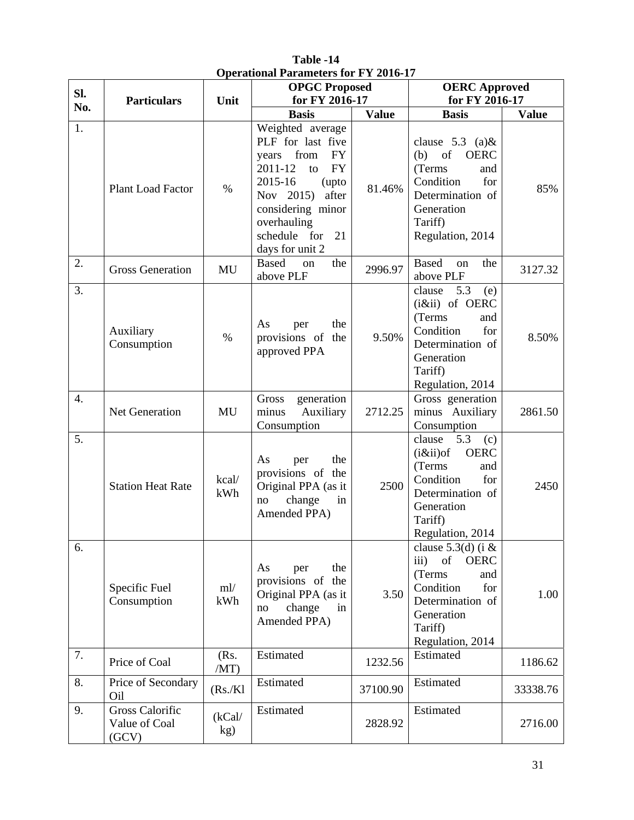| SI.              | <b>Particulars</b>                               | $\mu$ . The state of the state of $\mu$ is the state of $\mu$<br>Unit | <b>OPGC Proposed</b><br>for FY 2016-17                                                                                                                                                                                |              | <b>OERC</b> Approved<br>for FY 2016-17                                                                                                                      |              |
|------------------|--------------------------------------------------|-----------------------------------------------------------------------|-----------------------------------------------------------------------------------------------------------------------------------------------------------------------------------------------------------------------|--------------|-------------------------------------------------------------------------------------------------------------------------------------------------------------|--------------|
| No.              |                                                  |                                                                       | <b>Basis</b>                                                                                                                                                                                                          | <b>Value</b> | <b>Basis</b>                                                                                                                                                | <b>Value</b> |
| 1.               | <b>Plant Load Factor</b>                         | $\%$                                                                  | Weighted average<br>PLF for last five<br>years from<br><b>FY</b><br>2011-12<br><b>FY</b><br>to<br>2015-16<br>(upto<br>after<br>Nov 2015)<br>considering minor<br>overhauling<br>schedule for<br>21<br>days for unit 2 | 81.46%       | clause $5.3$ (a) &<br>of<br><b>OERC</b><br>(b)<br>(Terms<br>and<br>Condition<br>for<br>Determination of<br>Generation<br>Tariff)<br>Regulation, 2014        | 85%          |
| 2.               | <b>Gross Generation</b>                          | MU                                                                    | <b>Based</b><br>the<br>on<br>above PLF                                                                                                                                                                                | 2996.97      | <b>Based</b><br>the<br>on<br>above PLF                                                                                                                      | 3127.32      |
| 3.               | Auxiliary<br>Consumption                         | $\%$                                                                  | the<br>As<br>per<br>provisions of<br>the<br>approved PPA                                                                                                                                                              | 9.50%        | 5.3<br>clause<br>(e)<br>(iⅈ) of OERC<br>(Terms<br>and<br>Condition<br>for<br>Determination of<br>Generation<br>Tariff)<br>Regulation, 2014                  | 8.50%        |
| $\overline{4}$ . | Net Generation                                   | MU                                                                    | generation<br>Gross<br>minus<br>Auxiliary<br>Consumption                                                                                                                                                              | 2712.25      | Gross generation<br>minus Auxiliary<br>Consumption                                                                                                          | 2861.50      |
| 5.               | <b>Station Heat Rate</b>                         | kcal/<br>kWh                                                          | the<br>As<br>per<br>provisions of the<br>Original PPA (as it<br>change<br>in<br>no<br>Amended PPA)                                                                                                                    | 2500         | clause<br>5.3<br>(c)<br>$(i \& ii)$ of<br><b>OERC</b><br>(Terms<br>and<br>Condition<br>for<br>Determination of<br>Generation<br>Tariff)<br>Regulation, 2014 | 2450         |
| 6.               | Specific Fuel<br>Consumption                     | ml/<br>kWh                                                            | the<br>As<br>per<br>provisions of the<br>Original PPA (as it<br>change<br>in<br>no<br>Amended PPA)                                                                                                                    | 3.50         | clause $5.3(d)$ (i &<br>of<br>iii)<br><b>OERC</b><br>(Terms<br>and<br>Condition<br>for<br>Determination of<br>Generation<br>Tariff)<br>Regulation, 2014     | 1.00         |
| 7.               | Price of Coal                                    | (Rs.<br>/MT)                                                          | Estimated                                                                                                                                                                                                             | 1232.56      | Estimated                                                                                                                                                   | 1186.62      |
| 8.               | Price of Secondary<br>Oil                        | (Rs/Kl)                                                               | Estimated                                                                                                                                                                                                             | 37100.90     | Estimated                                                                                                                                                   | 33338.76     |
| 9.               | <b>Gross Calorific</b><br>Value of Coal<br>(GCV) | (kCal/<br>kg)                                                         | Estimated                                                                                                                                                                                                             | 2828.92      | Estimated                                                                                                                                                   | 2716.00      |

**Table -14 Operational Parameters for FY 2016-17**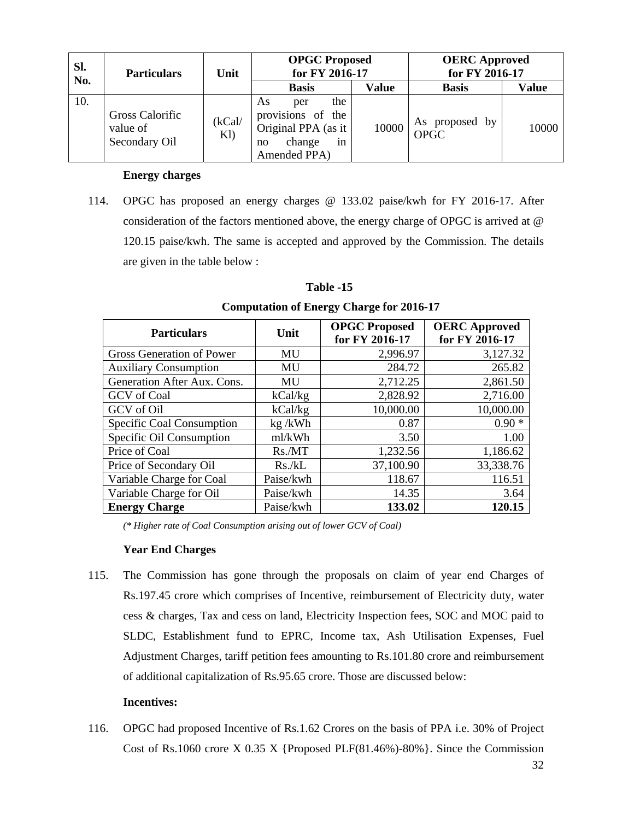| SI.<br>No. | <b>Particulars</b>                                  | Unit          | <b>OPGC Proposed</b><br>for FY 2016-17                                                             |              | <b>OERC</b> Approved<br>for FY 2016-17 |              |
|------------|-----------------------------------------------------|---------------|----------------------------------------------------------------------------------------------------|--------------|----------------------------------------|--------------|
|            |                                                     |               | <b>Basis</b>                                                                                       | <b>Value</b> | <b>Basis</b>                           | <b>Value</b> |
| 10.        | <b>Gross Calorific</b><br>value of<br>Secondary Oil | (kCal/<br>K1) | the<br>As<br>per<br>provisions of the<br>Original PPA (as it<br>change<br>in<br>no<br>Amended PPA) | 10000        | As proposed by<br>OPGC                 | 10000        |

## **Energy charges**

114. OPGC has proposed an energy charges @ 133.02 paise/kwh for FY 2016-17. After consideration of the factors mentioned above, the energy charge of OPGC is arrived at @ 120.15 paise/kwh. The same is accepted and approved by the Commission. The details are given in the table below :

| <b>Particulars</b>               | Unit      | <b>OPGC Proposed</b><br>for FY 2016-17 | <b>OERC</b> Approved<br>for FY 2016-17 |
|----------------------------------|-----------|----------------------------------------|----------------------------------------|
| <b>Gross Generation of Power</b> | MU        | 2,996.97                               | 3,127.32                               |
| <b>Auxiliary Consumption</b>     | MU        | 284.72                                 | 265.82                                 |
| Generation After Aux. Cons.      | MU        | 2,712.25                               | 2,861.50                               |
| <b>GCV</b> of Coal               | kCal/kg   | 2,828.92                               | 2,716.00                               |
| <b>GCV</b> of Oil                | kCal/kg   | 10,000.00                              | 10,000.00                              |
| Specific Coal Consumption        | $kg$ /kWh | 0.87                                   | $0.90*$                                |
| Specific Oil Consumption         | ml/kWh    | 3.50                                   | 1.00                                   |
| Price of Coal                    | Rs.MT     | 1,232.56                               | 1,186.62                               |
| Price of Secondary Oil           | Rs. / kL  | 37,100.90                              | 33,338.76                              |
| Variable Charge for Coal         | Paise/kwh | 118.67                                 | 116.51                                 |
| Variable Charge for Oil          | Paise/kwh | 14.35                                  | 3.64                                   |
| <b>Energy Charge</b>             | Paise/kwh | 133.02                                 | 120.15                                 |

# **Table -15 Computation of Energy Charge for 2016-17**

*(\* Higher rate of Coal Consumption arising out of lower GCV of Coal)* 

## **Year End Charges**

115. The Commission has gone through the proposals on claim of year end Charges of Rs.197.45 crore which comprises of Incentive, reimbursement of Electricity duty, water cess & charges, Tax and cess on land, Electricity Inspection fees, SOC and MOC paid to SLDC, Establishment fund to EPRC, Income tax, Ash Utilisation Expenses, Fuel Adjustment Charges, tariff petition fees amounting to Rs.101.80 crore and reimbursement of additional capitalization of Rs.95.65 crore. Those are discussed below:

## **Incentives:**

116. OPGC had proposed Incentive of Rs.1.62 Crores on the basis of PPA i.e. 30% of Project Cost of Rs.1060 crore X 0.35 X {Proposed PLF(81.46%)-80%}. Since the Commission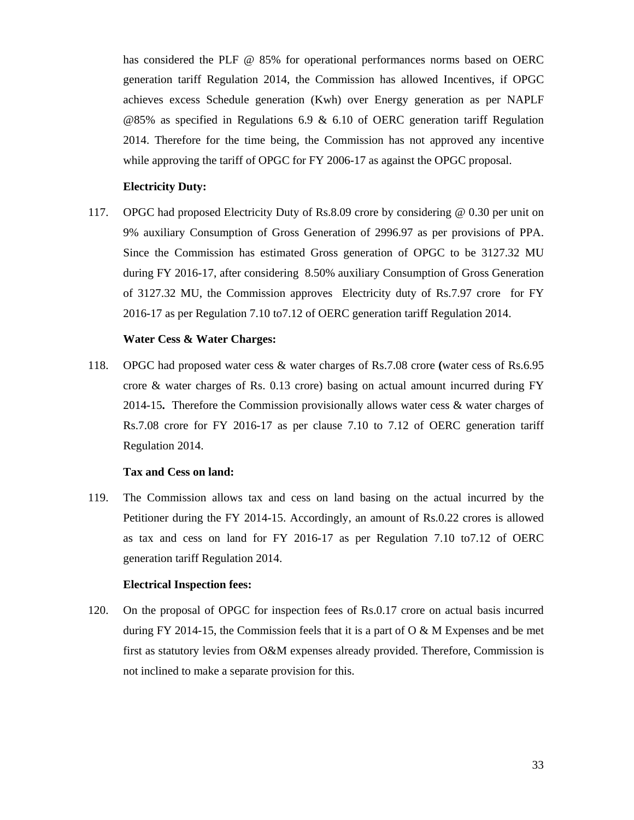has considered the PLF @ 85% for operational performances norms based on OERC generation tariff Regulation 2014, the Commission has allowed Incentives, if OPGC achieves excess Schedule generation (Kwh) over Energy generation as per NAPLF @85% as specified in Regulations 6.9 & 6.10 of OERC generation tariff Regulation 2014. Therefore for the time being, the Commission has not approved any incentive while approving the tariff of OPGC for FY 2006-17 as against the OPGC proposal.

#### **Electricity Duty:**

117. OPGC had proposed Electricity Duty of Rs.8.09 crore by considering @ 0.30 per unit on 9% auxiliary Consumption of Gross Generation of 2996.97 as per provisions of PPA. Since the Commission has estimated Gross generation of OPGC to be 3127.32 MU during FY 2016-17, after considering 8.50% auxiliary Consumption of Gross Generation of 3127.32 MU, the Commission approves Electricity duty of Rs.7.97 crore for FY 2016-17 as per Regulation 7.10 to7.12 of OERC generation tariff Regulation 2014.

#### **Water Cess & Water Charges:**

118. OPGC had proposed water cess & water charges of Rs.7.08 crore **(**water cess of Rs.6.95 crore & water charges of Rs. 0.13 crore) basing on actual amount incurred during FY 2014-15**.** Therefore the Commission provisionally allows water cess & water charges of Rs.7.08 crore for FY 2016-17 as per clause 7.10 to 7.12 of OERC generation tariff Regulation 2014.

#### **Tax and Cess on land:**

119. The Commission allows tax and cess on land basing on the actual incurred by the Petitioner during the FY 2014-15. Accordingly, an amount of Rs.0.22 crores is allowed as tax and cess on land for FY 2016-17 as per Regulation 7.10 to7.12 of OERC generation tariff Regulation 2014.

#### **Electrical Inspection fees:**

120. On the proposal of OPGC for inspection fees of Rs.0.17 crore on actual basis incurred during FY 2014-15, the Commission feels that it is a part of  $O & M$  Expenses and be met first as statutory levies from O&M expenses already provided. Therefore, Commission is not inclined to make a separate provision for this.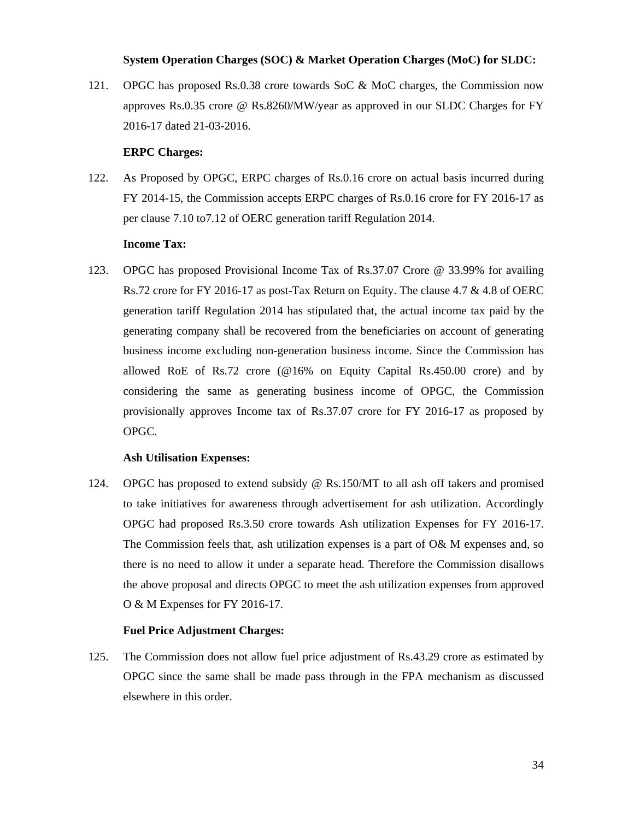## **System Operation Charges (SOC) & Market Operation Charges (MoC) for SLDC:**

121. OPGC has proposed Rs.0.38 crore towards SoC & MoC charges, the Commission now approves Rs.0.35 crore @ Rs.8260/MW/year as approved in our SLDC Charges for FY 2016-17 dated 21-03-2016.

## **ERPC Charges:**

122. As Proposed by OPGC, ERPC charges of Rs.0.16 crore on actual basis incurred during FY 2014-15, the Commission accepts ERPC charges of Rs.0.16 crore for FY 2016-17 as per clause 7.10 to7.12 of OERC generation tariff Regulation 2014.

## **Income Tax:**

123. OPGC has proposed Provisional Income Tax of Rs.37.07 Crore @ 33.99% for availing Rs.72 crore for FY 2016-17 as post-Tax Return on Equity. The clause 4.7 & 4.8 of OERC generation tariff Regulation 2014 has stipulated that, the actual income tax paid by the generating company shall be recovered from the beneficiaries on account of generating business income excluding non-generation business income. Since the Commission has allowed RoE of Rs.72 crore (@16% on Equity Capital Rs.450.00 crore) and by considering the same as generating business income of OPGC, the Commission provisionally approves Income tax of Rs.37.07 crore for FY 2016-17 as proposed by OPGC.

## **Ash Utilisation Expenses:**

124. OPGC has proposed to extend subsidy @ Rs.150/MT to all ash off takers and promised to take initiatives for awareness through advertisement for ash utilization. Accordingly OPGC had proposed Rs.3.50 crore towards Ash utilization Expenses for FY 2016-17. The Commission feels that, ash utilization expenses is a part of O& M expenses and, so there is no need to allow it under a separate head. Therefore the Commission disallows the above proposal and directs OPGC to meet the ash utilization expenses from approved O & M Expenses for FY 2016-17.

## **Fuel Price Adjustment Charges:**

125. The Commission does not allow fuel price adjustment of Rs.43.29 crore as estimated by OPGC since the same shall be made pass through in the FPA mechanism as discussed elsewhere in this order.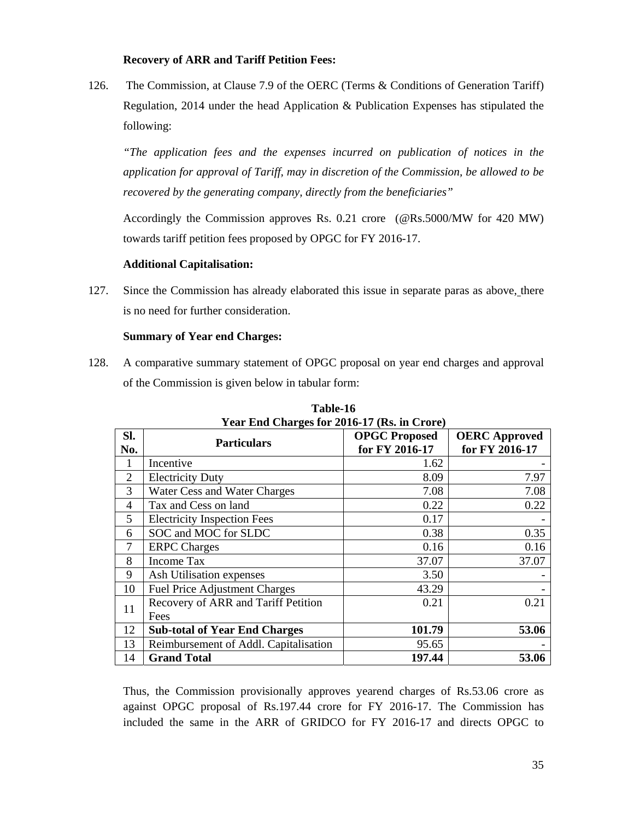## **Recovery of ARR and Tariff Petition Fees:**

126. The Commission, at Clause 7.9 of the OERC (Terms & Conditions of Generation Tariff) Regulation, 2014 under the head Application & Publication Expenses has stipulated the following:

*"The application fees and the expenses incurred on publication of notices in the application for approval of Tariff, may in discretion of the Commission, be allowed to be recovered by the generating company, directly from the beneficiaries"* 

Accordingly the Commission approves Rs. 0.21 crore (@Rs.5000/MW for 420 MW) towards tariff petition fees proposed by OPGC for FY 2016-17.

## **Additional Capitalisation:**

127. Since the Commission has already elaborated this issue in separate paras as above, there is no need for further consideration.

## **Summary of Year end Charges:**

128. A comparative summary statement of OPGC proposal on year end charges and approval of the Commission is given below in tabular form:

| SI.            | <b>Particulars</b>                    | <b>OPGC Proposed</b> | <b>OERC</b> Approved |
|----------------|---------------------------------------|----------------------|----------------------|
| No.            |                                       | for FY 2016-17       | for FY 2016-17       |
|                | Incentive                             | 1.62                 |                      |
| $\overline{2}$ | <b>Electricity Duty</b>               | 8.09                 | 7.97                 |
| 3              | Water Cess and Water Charges          | 7.08                 | 7.08                 |
| 4              | Tax and Cess on land                  | 0.22                 | 0.22                 |
| 5              | <b>Electricity Inspection Fees</b>    | 0.17                 |                      |
| 6              | SOC and MOC for SLDC                  | 0.38                 | 0.35                 |
| 7              | <b>ERPC</b> Charges                   | 0.16                 | 0.16                 |
| 8              | <b>Income Tax</b>                     | 37.07                | 37.07                |
| 9              | Ash Utilisation expenses              | 3.50                 |                      |
| 10             | <b>Fuel Price Adjustment Charges</b>  | 43.29                |                      |
| 11             | Recovery of ARR and Tariff Petition   | 0.21                 | 0.21                 |
|                | Fees                                  |                      |                      |
| 12             | <b>Sub-total of Year End Charges</b>  | 101.79               | 53.06                |
| 13             | Reimbursement of Addl. Capitalisation | 95.65                |                      |
| 14             | <b>Grand Total</b>                    | 197.44               | 53.06                |

**Table-16 Year End Charges for 2016-17 (Rs. in Crore)** 

Thus, the Commission provisionally approves yearend charges of Rs.53.06 crore as against OPGC proposal of Rs.197.44 crore for FY 2016-17. The Commission has included the same in the ARR of GRIDCO for FY 2016-17 and directs OPGC to